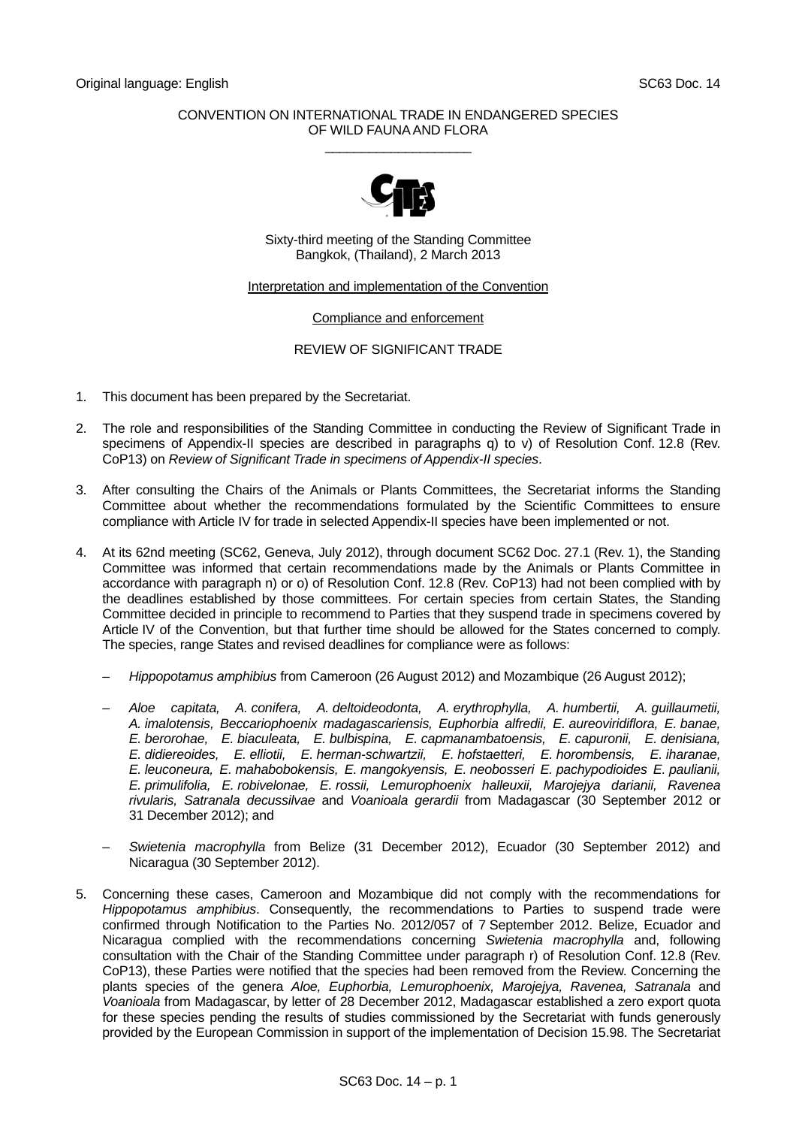### CONVENTION ON INTERNATIONAL TRADE IN ENDANGERED SPECIES OF WILD FAUNA AND FLORA  $\_$



Sixty-third meeting of the Standing Committee Bangkok, (Thailand), 2 March 2013

Interpretation and implementation of the Convention

# Compliance and enforcement

# REVIEW OF SIGNIFICANT TRADE

- 1. This document has been prepared by the Secretariat.
- 2. The role and responsibilities of the Standing Committee in conducting the Review of Significant Trade in specimens of Appendix-II species are described in paragraphs q) to v) of Resolution Conf. 12.8 (Rev. CoP13) on *Review of Significant Trade in specimens of Appendix-II species*.
- 3. After consulting the Chairs of the Animals or Plants Committees, the Secretariat informs the Standing Committee about whether the recommendations formulated by the Scientific Committees to ensure compliance with Article IV for trade in selected Appendix-II species have been implemented or not.
- 4. At its 62nd meeting (SC62, Geneva, July 2012), through document SC62 Doc. 27.1 (Rev. 1), the Standing Committee was informed that certain recommendations made by the Animals or Plants Committee in accordance with paragraph n) or o) of Resolution Conf. 12.8 (Rev. CoP13) had not been complied with by the deadlines established by those committees. For certain species from certain States, the Standing Committee decided in principle to recommend to Parties that they suspend trade in specimens covered by Article IV of the Convention, but that further time should be allowed for the States concerned to comply. The species, range States and revised deadlines for compliance were as follows:
	- *Hippopotamus amphibius* from Cameroon (26 August 2012) and Mozambique (26 August 2012);
	- *Aloe capitata, A. conifera, A. deltoideodonta, A. erythrophylla, A. humbertii, A. guillaumetii, A. imalotensis, Beccariophoenix madagascariensis, Euphorbia alfredii, E. aureoviridiflora, E. banae, E. berorohae, E. biaculeata, E. bulbispina, E. capmanambatoensis, E. capuronii, E. denisiana, E. didiereoides, E. elliotii, E. herman-schwartzii, E. hofstaetteri, E. horombensis, E. iharanae, E. leuconeura, E. mahabobokensis, E. mangokyensis, E. neobosseri E. pachypodioides E. paulianii, E. primulifolia, E. robivelonae, E. rossii, Lemurophoenix halleuxii, Marojejya darianii, Ravenea rivularis, Satranala decussilvae* and *Voanioala gerardii* from Madagascar (30 September 2012 or 31 December 2012); and
	- *Swietenia macrophylla* from Belize (31 December 2012), Ecuador (30 September 2012) and Nicaragua (30 September 2012).
- 5. Concerning these cases, Cameroon and Mozambique did not comply with the recommendations for *Hippopotamus amphibius*. Consequently, the recommendations to Parties to suspend trade were confirmed through Notification to the Parties No. 2012/057 of 7 September 2012. Belize, Ecuador and Nicaragua complied with the recommendations concerning *Swietenia macrophylla* and, following consultation with the Chair of the Standing Committee under paragraph r) of Resolution Conf. 12.8 (Rev. CoP13), these Parties were notified that the species had been removed from the Review. Concerning the plants species of the genera *Aloe, Euphorbia, Lemurophoenix, Marojejya, Ravenea, Satranala* and *Voanioala* from Madagascar, by letter of 28 December 2012, Madagascar established a zero export quota for these species pending the results of studies commissioned by the Secretariat with funds generously provided by the European Commission in support of the implementation of Decision 15.98. The Secretariat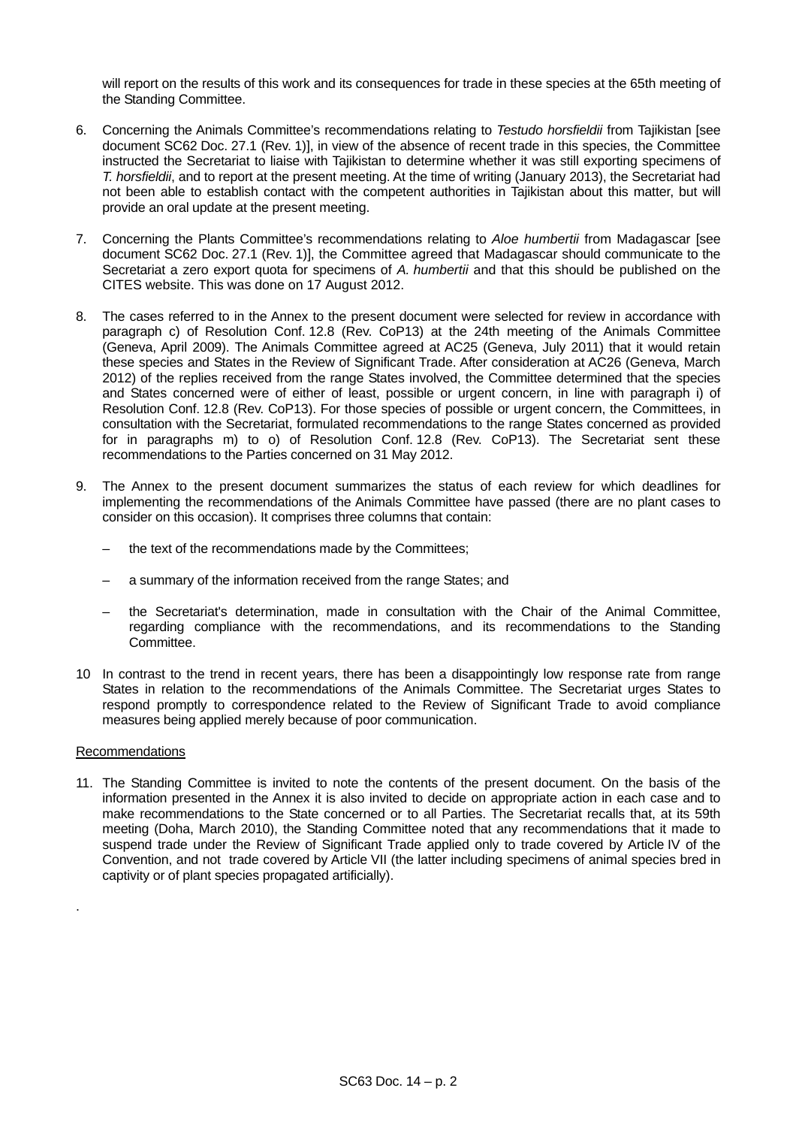will report on the results of this work and its consequences for trade in these species at the 65th meeting of the Standing Committee.

- 6. Concerning the Animals Committee's recommendations relating to *Testudo horsfieldii* from Tajikistan [see document SC62 Doc. 27.1 (Rev. 1)], in view of the absence of recent trade in this species, the Committee instructed the Secretariat to liaise with Tajikistan to determine whether it was still exporting specimens of *T. horsfieldii*, and to report at the present meeting. At the time of writing (January 2013), the Secretariat had not been able to establish contact with the competent authorities in Tajikistan about this matter, but will provide an oral update at the present meeting.
- 7. Concerning the Plants Committee's recommendations relating to *Aloe humbertii* from Madagascar [see document SC62 Doc. 27.1 (Rev. 1)], the Committee agreed that Madagascar should communicate to the Secretariat a zero export quota for specimens of *A. humbertii* and that this should be published on the CITES website. This was done on 17 August 2012.
- 8. The cases referred to in the Annex to the present document were selected for review in accordance with paragraph c) of Resolution Conf. 12.8 (Rev. CoP13) at the 24th meeting of the Animals Committee (Geneva, April 2009). The Animals Committee agreed at AC25 (Geneva, July 2011) that it would retain these species and States in the Review of Significant Trade. After consideration at AC26 (Geneva, March 2012) of the replies received from the range States involved, the Committee determined that the species and States concerned were of either of least, possible or urgent concern, in line with paragraph i) of Resolution Conf. 12.8 (Rev. CoP13). For those species of possible or urgent concern, the Committees, in consultation with the Secretariat, formulated recommendations to the range States concerned as provided for in paragraphs m) to o) of Resolution Conf. 12.8 (Rev. CoP13). The Secretariat sent these recommendations to the Parties concerned on 31 May 2012.
- 9. The Annex to the present document summarizes the status of each review for which deadlines for implementing the recommendations of the Animals Committee have passed (there are no plant cases to consider on this occasion). It comprises three columns that contain:
	- the text of the recommendations made by the Committees;
	- a summary of the information received from the range States; and
	- the Secretariat's determination, made in consultation with the Chair of the Animal Committee, regarding compliance with the recommendations, and its recommendations to the Standing Committee.
- 10 In contrast to the trend in recent years, there has been a disappointingly low response rate from range States in relation to the recommendations of the Animals Committee. The Secretariat urges States to respond promptly to correspondence related to the Review of Significant Trade to avoid compliance measures being applied merely because of poor communication.

#### Recommendations

.

11. The Standing Committee is invited to note the contents of the present document. On the basis of the information presented in the Annex it is also invited to decide on appropriate action in each case and to make recommendations to the State concerned or to all Parties. The Secretariat recalls that, at its 59th meeting (Doha, March 2010), the Standing Committee noted that any recommendations that it made to suspend trade under the Review of Significant Trade applied only to trade covered by Article IV of the Convention, and not trade covered by Article VII (the latter including specimens of animal species bred in captivity or of plant species propagated artificially).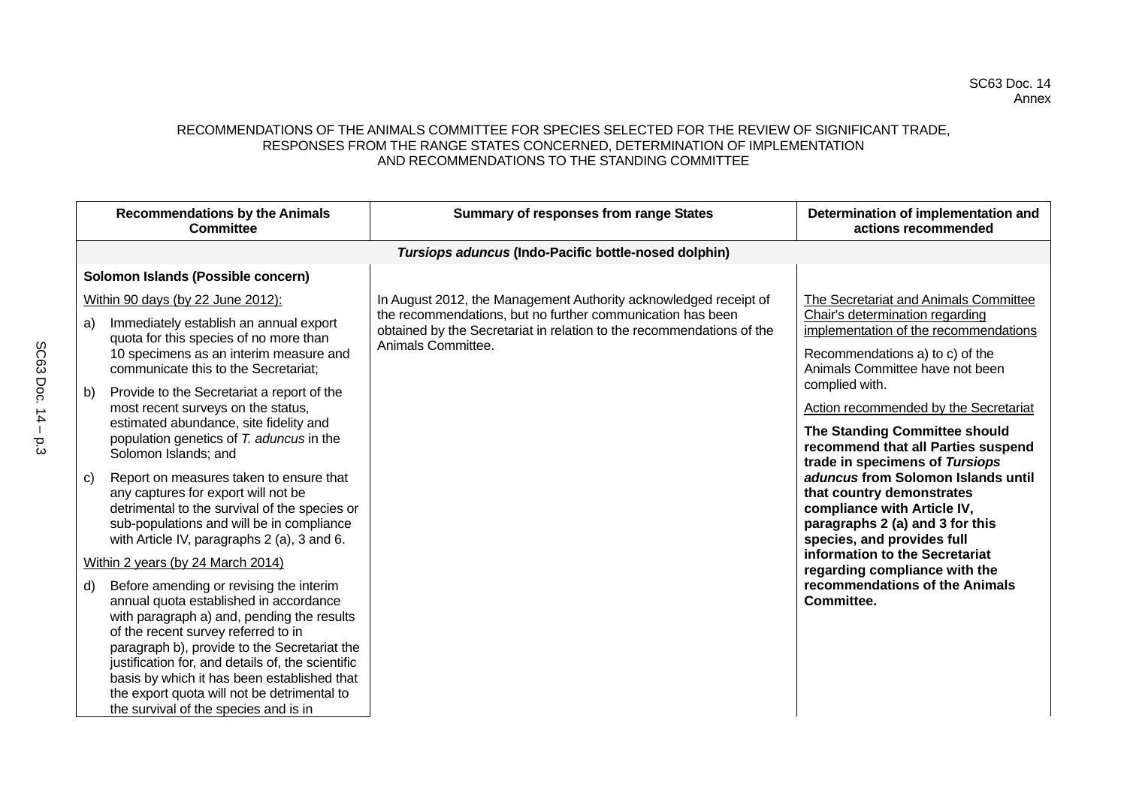# SC63 Doc. 14 Annex

# RECOMMENDATIONS OF THE ANIMALS COMMITTEE FOR SPECIES SELECTED FOR THE REVIEW OF SIGNIFICANT TRADE, RESPONSES FROM THE RANGE STATES CONCERNED, DETERMINATION OF IMPLEMENTATION AND RECOMMENDATIONS TO THE STANDING COMMITTEE

|    | <b>Recommendations by the Animals</b><br>Committee                                                                                                                                                                                                                                                                                                                                                                 | <b>Summary of responses from range States</b>                                                                                       | Determination of implementation and<br>actions recommended                                                                                                      |
|----|--------------------------------------------------------------------------------------------------------------------------------------------------------------------------------------------------------------------------------------------------------------------------------------------------------------------------------------------------------------------------------------------------------------------|-------------------------------------------------------------------------------------------------------------------------------------|-----------------------------------------------------------------------------------------------------------------------------------------------------------------|
|    |                                                                                                                                                                                                                                                                                                                                                                                                                    | Tursiops aduncus (Indo-Pacific bottle-nosed dolphin)                                                                                |                                                                                                                                                                 |
|    | Solomon Islands (Possible concern)                                                                                                                                                                                                                                                                                                                                                                                 |                                                                                                                                     |                                                                                                                                                                 |
|    | Within 90 days (by 22 June 2012):                                                                                                                                                                                                                                                                                                                                                                                  | In August 2012, the Management Authority acknowledged receipt of                                                                    | The Secretariat and Animals Committee                                                                                                                           |
| a) | Immediately establish an annual export                                                                                                                                                                                                                                                                                                                                                                             | the recommendations, but no further communication has been<br>obtained by the Secretariat in relation to the recommendations of the | Chair's determination regarding<br>implementation of the recommendations                                                                                        |
|    | quota for this species of no more than<br>10 specimens as an interim measure and<br>communicate this to the Secretariat;                                                                                                                                                                                                                                                                                           | Animals Committee.                                                                                                                  | Recommendations a) to c) of the<br>Animals Committee have not been<br>complied with.                                                                            |
| b) | Provide to the Secretariat a report of the                                                                                                                                                                                                                                                                                                                                                                         |                                                                                                                                     |                                                                                                                                                                 |
|    | most recent surveys on the status,<br>estimated abundance, site fidelity and<br>population genetics of T. aduncus in the<br>Solomon Islands; and                                                                                                                                                                                                                                                                   |                                                                                                                                     | <b>Action recommended by the Secretariat</b><br>The Standing Committee should<br>recommend that all Parties suspend<br>trade in specimens of Tursiops           |
| C) | Report on measures taken to ensure that<br>any captures for export will not be<br>detrimental to the survival of the species or<br>sub-populations and will be in compliance<br>with Article IV, paragraphs 2 (a), 3 and 6.                                                                                                                                                                                        |                                                                                                                                     | aduncus from Solomon Islands until<br>that country demonstrates<br>compliance with Article IV,<br>paragraphs 2 (a) and 3 for this<br>species, and provides full |
|    | Within 2 years (by 24 March 2014)                                                                                                                                                                                                                                                                                                                                                                                  |                                                                                                                                     | information to the Secretariat<br>regarding compliance with the                                                                                                 |
| d) | Before amending or revising the interim<br>annual quota established in accordance<br>with paragraph a) and, pending the results<br>of the recent survey referred to in<br>paragraph b), provide to the Secretariat the<br>justification for, and details of, the scientific<br>basis by which it has been established that<br>the export quota will not be detrimental to<br>the survival of the species and is in |                                                                                                                                     | recommendations of the Animals<br>Committee.                                                                                                                    |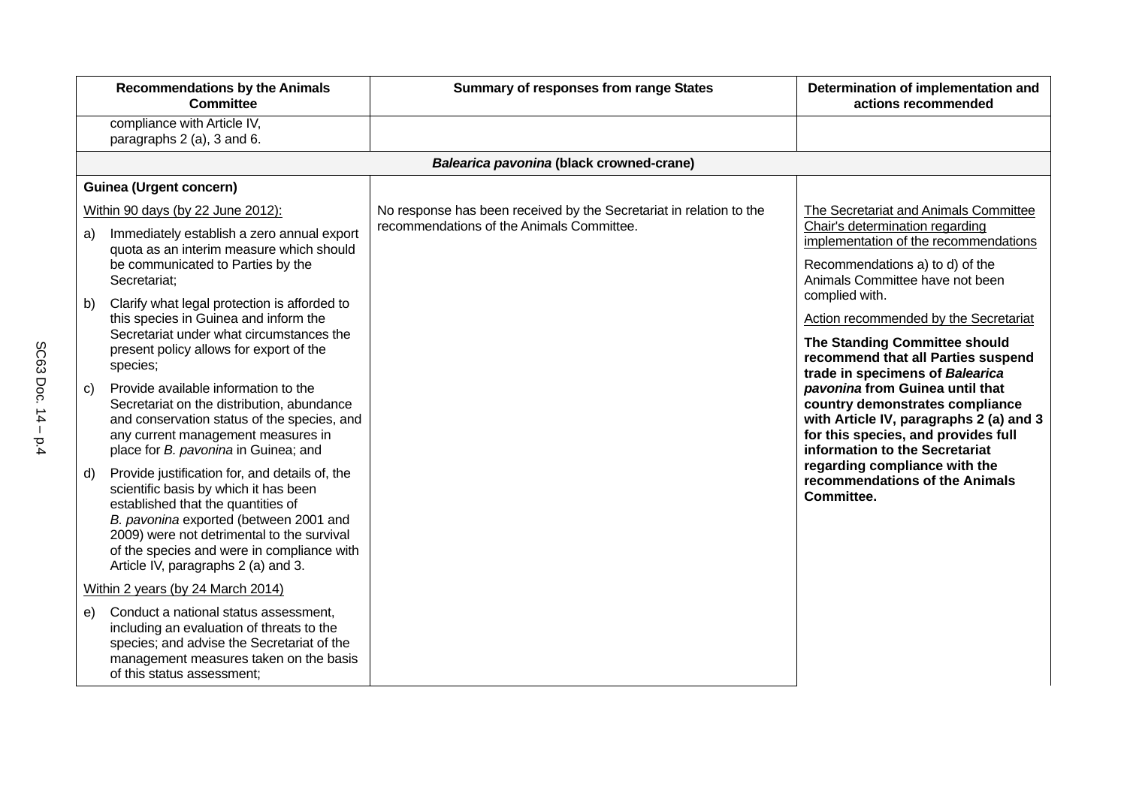|    | <b>Recommendations by the Animals</b><br><b>Committee</b>                                                                                                                                                                                                                                                  | <b>Summary of responses from range States</b>                       | Determination of implementation and<br>actions recommended                                                                                                                             |
|----|------------------------------------------------------------------------------------------------------------------------------------------------------------------------------------------------------------------------------------------------------------------------------------------------------------|---------------------------------------------------------------------|----------------------------------------------------------------------------------------------------------------------------------------------------------------------------------------|
|    | compliance with Article IV,<br>paragraphs 2 (a), 3 and 6.                                                                                                                                                                                                                                                  |                                                                     |                                                                                                                                                                                        |
|    |                                                                                                                                                                                                                                                                                                            | Balearica pavonina (black crowned-crane)                            |                                                                                                                                                                                        |
|    | <b>Guinea (Urgent concern)</b>                                                                                                                                                                                                                                                                             |                                                                     |                                                                                                                                                                                        |
|    | Within 90 days (by 22 June 2012):                                                                                                                                                                                                                                                                          | No response has been received by the Secretariat in relation to the | The Secretariat and Animals Committee                                                                                                                                                  |
| a) | Immediately establish a zero annual export<br>quota as an interim measure which should<br>be communicated to Parties by the<br>Secretariat;                                                                                                                                                                | recommendations of the Animals Committee.                           | Chair's determination regarding<br>implementation of the recommendations<br>Recommendations a) to d) of the<br>Animals Committee have not been                                         |
| b) | Clarify what legal protection is afforded to<br>this species in Guinea and inform the<br>Secretariat under what circumstances the<br>present policy allows for export of the<br>species;                                                                                                                   |                                                                     | complied with.<br>Action recommended by the Secretariat<br>The Standing Committee should<br>recommend that all Parties suspend<br>trade in specimens of Balearica                      |
| C) | Provide available information to the<br>Secretariat on the distribution, abundance<br>and conservation status of the species, and<br>any current management measures in<br>place for B. pavonina in Guinea; and                                                                                            |                                                                     | pavonina from Guinea until that<br>country demonstrates compliance<br>with Article IV, paragraphs 2 (a) and 3<br>for this species, and provides full<br>information to the Secretariat |
| d) | Provide justification for, and details of, the<br>scientific basis by which it has been<br>established that the quantities of<br>B. pavonina exported (between 2001 and<br>2009) were not detrimental to the survival<br>of the species and were in compliance with<br>Article IV, paragraphs 2 (a) and 3. |                                                                     | regarding compliance with the<br>recommendations of the Animals<br>Committee.                                                                                                          |
|    | Within 2 years (by 24 March 2014)                                                                                                                                                                                                                                                                          |                                                                     |                                                                                                                                                                                        |
| e) | Conduct a national status assessment,<br>including an evaluation of threats to the<br>species; and advise the Secretariat of the<br>management measures taken on the basis<br>of this status assessment;                                                                                                   |                                                                     |                                                                                                                                                                                        |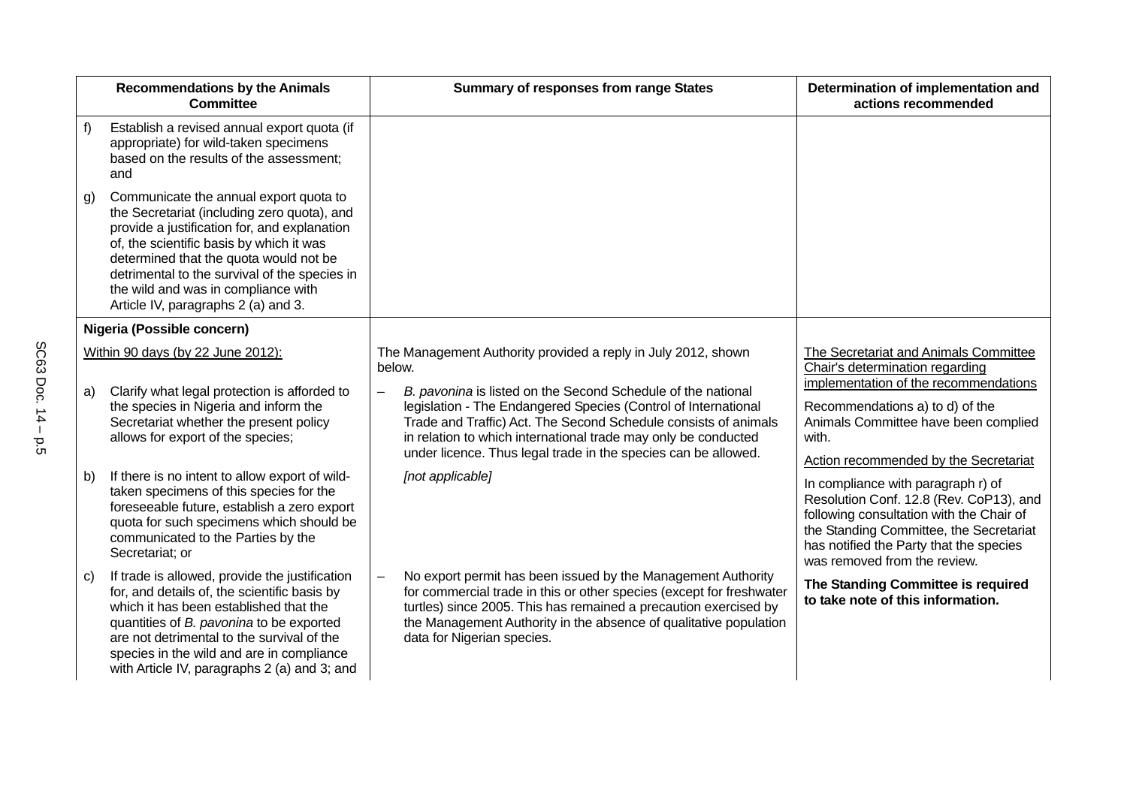|              | <b>Recommendations by the Animals</b><br><b>Committee</b>                                                                                                                                                                                                                                                                                                  | <b>Summary of responses from range States</b>                                                                                                                                                                                                                                                                                         | Determination of implementation and<br>actions recommended                                                                                                                                                                                      |
|--------------|------------------------------------------------------------------------------------------------------------------------------------------------------------------------------------------------------------------------------------------------------------------------------------------------------------------------------------------------------------|---------------------------------------------------------------------------------------------------------------------------------------------------------------------------------------------------------------------------------------------------------------------------------------------------------------------------------------|-------------------------------------------------------------------------------------------------------------------------------------------------------------------------------------------------------------------------------------------------|
| f)           | Establish a revised annual export quota (if<br>appropriate) for wild-taken specimens<br>based on the results of the assessment;<br>and                                                                                                                                                                                                                     |                                                                                                                                                                                                                                                                                                                                       |                                                                                                                                                                                                                                                 |
| $\mathsf{g}$ | Communicate the annual export quota to<br>the Secretariat (including zero quota), and<br>provide a justification for, and explanation<br>of, the scientific basis by which it was<br>determined that the quota would not be<br>detrimental to the survival of the species in<br>the wild and was in compliance with<br>Article IV, paragraphs 2 (a) and 3. |                                                                                                                                                                                                                                                                                                                                       |                                                                                                                                                                                                                                                 |
|              | Nigeria (Possible concern)                                                                                                                                                                                                                                                                                                                                 |                                                                                                                                                                                                                                                                                                                                       |                                                                                                                                                                                                                                                 |
|              | Within 90 days (by 22 June 2012):                                                                                                                                                                                                                                                                                                                          | The Management Authority provided a reply in July 2012, shown<br>below.                                                                                                                                                                                                                                                               | The Secretariat and Animals Committee<br>Chair's determination regarding                                                                                                                                                                        |
| a)           | Clarify what legal protection is afforded to<br>the species in Nigeria and inform the<br>Secretariat whether the present policy<br>allows for export of the species;                                                                                                                                                                                       | B. pavonina is listed on the Second Schedule of the national<br>legislation - The Endangered Species (Control of International<br>Trade and Traffic) Act. The Second Schedule consists of animals<br>in relation to which international trade may only be conducted<br>under licence. Thus legal trade in the species can be allowed. | implementation of the recommendations<br>Recommendations a) to d) of the<br>Animals Committee have been complied<br>with.<br>Action recommended by the Secretariat                                                                              |
| b)           | If there is no intent to allow export of wild-<br>taken specimens of this species for the<br>foreseeable future, establish a zero export<br>quota for such specimens which should be<br>communicated to the Parties by the<br>Secretariat; or                                                                                                              | [not applicable]                                                                                                                                                                                                                                                                                                                      | In compliance with paragraph r) of<br>Resolution Conf. 12.8 (Rev. CoP13), and<br>following consultation with the Chair of<br>the Standing Committee, the Secretariat<br>has notified the Party that the species<br>was removed from the review. |
| C)           | If trade is allowed, provide the justification<br>for, and details of, the scientific basis by<br>which it has been established that the<br>quantities of B. pavonina to be exported<br>are not detrimental to the survival of the<br>species in the wild and are in compliance<br>with Article IV, paragraphs 2 (a) and 3; and                            | No export permit has been issued by the Management Authority<br>for commercial trade in this or other species (except for freshwater<br>turtles) since 2005. This has remained a precaution exercised by<br>the Management Authority in the absence of qualitative population<br>data for Nigerian species.                           | The Standing Committee is required<br>to take note of this information.                                                                                                                                                                         |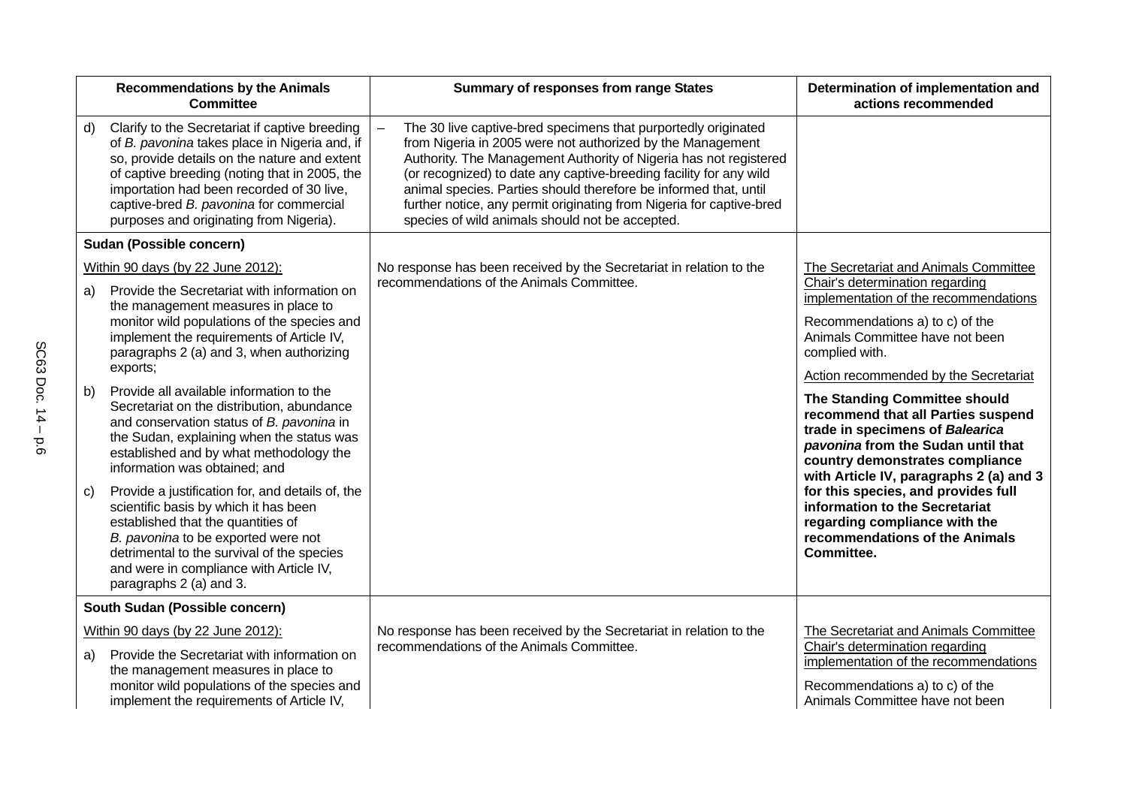| <b>Recommendations by the Animals</b><br><b>Committee</b>                                                                                                                                                                                                                                                                                 | <b>Summary of responses from range States</b>                                                                                                                                                                                                                                                                                                                                                                                                                          | Determination of implementation and<br>actions recommended                                                                                                                                                                 |
|-------------------------------------------------------------------------------------------------------------------------------------------------------------------------------------------------------------------------------------------------------------------------------------------------------------------------------------------|------------------------------------------------------------------------------------------------------------------------------------------------------------------------------------------------------------------------------------------------------------------------------------------------------------------------------------------------------------------------------------------------------------------------------------------------------------------------|----------------------------------------------------------------------------------------------------------------------------------------------------------------------------------------------------------------------------|
| Clarify to the Secretariat if captive breeding<br>d)<br>of B. pavonina takes place in Nigeria and, if<br>so, provide details on the nature and extent<br>of captive breeding (noting that in 2005, the<br>importation had been recorded of 30 live,<br>captive-bred B. pavonina for commercial<br>purposes and originating from Nigeria). | The 30 live captive-bred specimens that purportedly originated<br>from Nigeria in 2005 were not authorized by the Management<br>Authority. The Management Authority of Nigeria has not registered<br>(or recognized) to date any captive-breeding facility for any wild<br>animal species. Parties should therefore be informed that, until<br>further notice, any permit originating from Nigeria for captive-bred<br>species of wild animals should not be accepted. |                                                                                                                                                                                                                            |
| Sudan (Possible concern)                                                                                                                                                                                                                                                                                                                  |                                                                                                                                                                                                                                                                                                                                                                                                                                                                        |                                                                                                                                                                                                                            |
| Within 90 days (by 22 June 2012):                                                                                                                                                                                                                                                                                                         | No response has been received by the Secretariat in relation to the                                                                                                                                                                                                                                                                                                                                                                                                    | The Secretariat and Animals Committee                                                                                                                                                                                      |
| Provide the Secretariat with information on<br>a)<br>the management measures in place to<br>monitor wild populations of the species and<br>implement the requirements of Article IV,<br>paragraphs 2 (a) and 3, when authorizing<br>exports;                                                                                              | recommendations of the Animals Committee.                                                                                                                                                                                                                                                                                                                                                                                                                              | Chair's determination regarding<br>implementation of the recommendations<br>Recommendations a) to c) of the<br>Animals Committee have not been<br>complied with.<br>Action recommended by the Secretariat                  |
| Provide all available information to the<br>b)<br>Secretariat on the distribution, abundance<br>and conservation status of B. pavonina in<br>the Sudan, explaining when the status was<br>established and by what methodology the<br>information was obtained; and                                                                        |                                                                                                                                                                                                                                                                                                                                                                                                                                                                        | The Standing Committee should<br>recommend that all Parties suspend<br>trade in specimens of Balearica<br>pavonina from the Sudan until that<br>country demonstrates compliance<br>with Article IV, paragraphs 2 (a) and 3 |
| Provide a justification for, and details of, the<br>C)<br>scientific basis by which it has been<br>established that the quantities of<br>B. pavonina to be exported were not<br>detrimental to the survival of the species<br>and were in compliance with Article IV,<br>paragraphs 2 (a) and 3.                                          |                                                                                                                                                                                                                                                                                                                                                                                                                                                                        | for this species, and provides full<br>information to the Secretariat<br>regarding compliance with the<br>recommendations of the Animals<br>Committee.                                                                     |
| South Sudan (Possible concern)                                                                                                                                                                                                                                                                                                            |                                                                                                                                                                                                                                                                                                                                                                                                                                                                        |                                                                                                                                                                                                                            |
| Within 90 days (by 22 June 2012):                                                                                                                                                                                                                                                                                                         | No response has been received by the Secretariat in relation to the                                                                                                                                                                                                                                                                                                                                                                                                    | The Secretariat and Animals Committee                                                                                                                                                                                      |
| Provide the Secretariat with information on<br>a)<br>the management measures in place to<br>monitor wild populations of the species and<br>implement the requirements of Article IV,                                                                                                                                                      | recommendations of the Animals Committee.                                                                                                                                                                                                                                                                                                                                                                                                                              | Chair's determination regarding<br>implementation of the recommendations<br>Recommendations a) to c) of the<br>Animals Committee have not been                                                                             |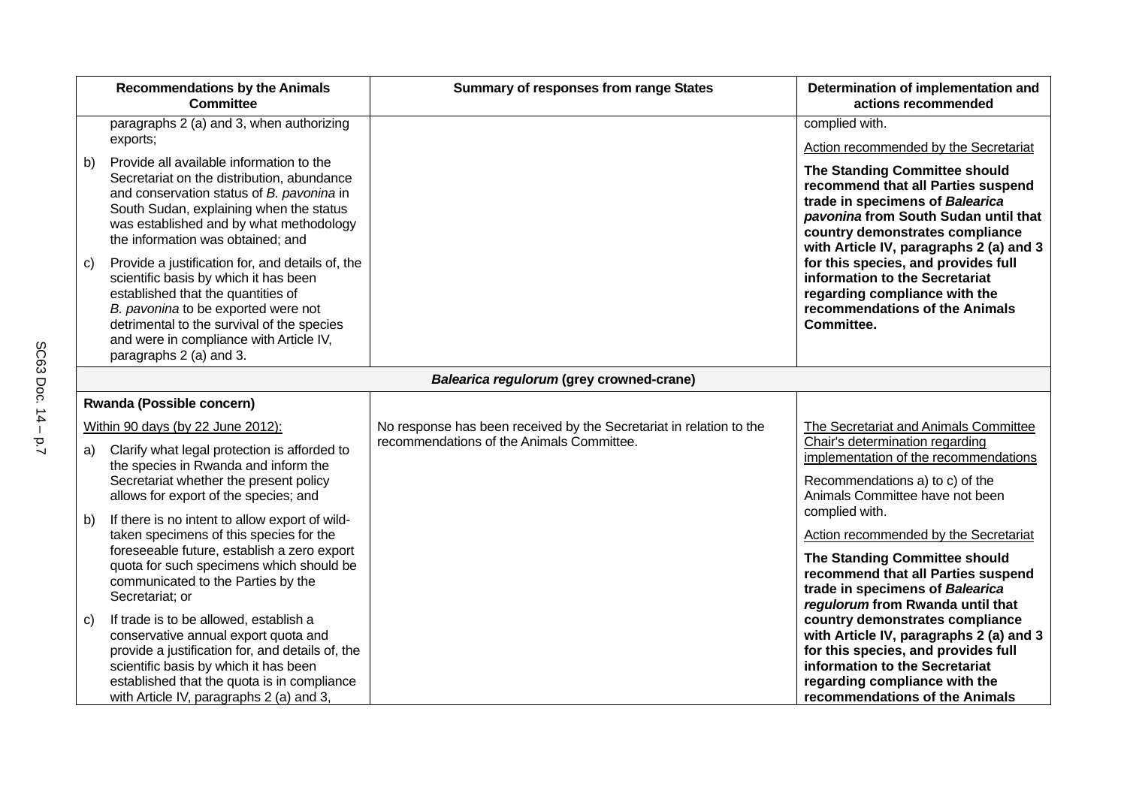|    | <b>Recommendations by the Animals</b><br><b>Committee</b>                                                                                                                                                                                                                                  | <b>Summary of responses from range States</b>                       | Determination of implementation and<br>actions recommended                                                                                                                                                                   |
|----|--------------------------------------------------------------------------------------------------------------------------------------------------------------------------------------------------------------------------------------------------------------------------------------------|---------------------------------------------------------------------|------------------------------------------------------------------------------------------------------------------------------------------------------------------------------------------------------------------------------|
|    | paragraphs 2 (a) and 3, when authorizing<br>exports;                                                                                                                                                                                                                                       |                                                                     | complied with.<br><b>Action recommended by the Secretariat</b>                                                                                                                                                               |
| b) | Provide all available information to the<br>Secretariat on the distribution, abundance<br>and conservation status of B. pavonina in<br>South Sudan, explaining when the status<br>was established and by what methodology<br>the information was obtained; and                             |                                                                     | The Standing Committee should<br>recommend that all Parties suspend<br>trade in specimens of Balearica<br>pavonina from South Sudan until that<br>country demonstrates compliance<br>with Article IV, paragraphs 2 (a) and 3 |
| C) | Provide a justification for, and details of, the<br>scientific basis by which it has been<br>established that the quantities of<br>B. pavonina to be exported were not<br>detrimental to the survival of the species<br>and were in compliance with Article IV,<br>paragraphs 2 (a) and 3. |                                                                     | for this species, and provides full<br>information to the Secretariat<br>regarding compliance with the<br>recommendations of the Animals<br>Committee.                                                                       |
|    |                                                                                                                                                                                                                                                                                            | Balearica regulorum (grey crowned-crane)                            |                                                                                                                                                                                                                              |
|    | Rwanda (Possible concern)                                                                                                                                                                                                                                                                  |                                                                     |                                                                                                                                                                                                                              |
|    | Within 90 days (by 22 June 2012):                                                                                                                                                                                                                                                          | No response has been received by the Secretariat in relation to the | The Secretariat and Animals Committee                                                                                                                                                                                        |
| a) | Clarify what legal protection is afforded to<br>the species in Rwanda and inform the<br>Secretariat whether the present policy<br>allows for export of the species; and                                                                                                                    | recommendations of the Animals Committee.                           | Chair's determination regarding<br>implementation of the recommendations<br>Recommendations a) to c) of the<br>Animals Committee have not been                                                                               |
| b) | If there is no intent to allow export of wild-                                                                                                                                                                                                                                             |                                                                     | complied with.                                                                                                                                                                                                               |
|    | taken specimens of this species for the<br>foreseeable future, establish a zero export<br>quota for such specimens which should be<br>communicated to the Parties by the<br>Secretariat; or                                                                                                |                                                                     | Action recommended by the Secretariat<br>The Standing Committee should<br>recommend that all Parties suspend<br>trade in specimens of Balearica<br>regulorum from Rwanda until that                                          |
| C) | If trade is to be allowed, establish a<br>conservative annual export quota and<br>provide a justification for, and details of, the<br>scientific basis by which it has been<br>established that the quota is in compliance<br>with Article IV, paragraphs 2 (a) and 3,                     |                                                                     | country demonstrates compliance<br>with Article IV, paragraphs 2 (a) and 3<br>for this species, and provides full<br>information to the Secretariat<br>regarding compliance with the<br>recommendations of the Animals       |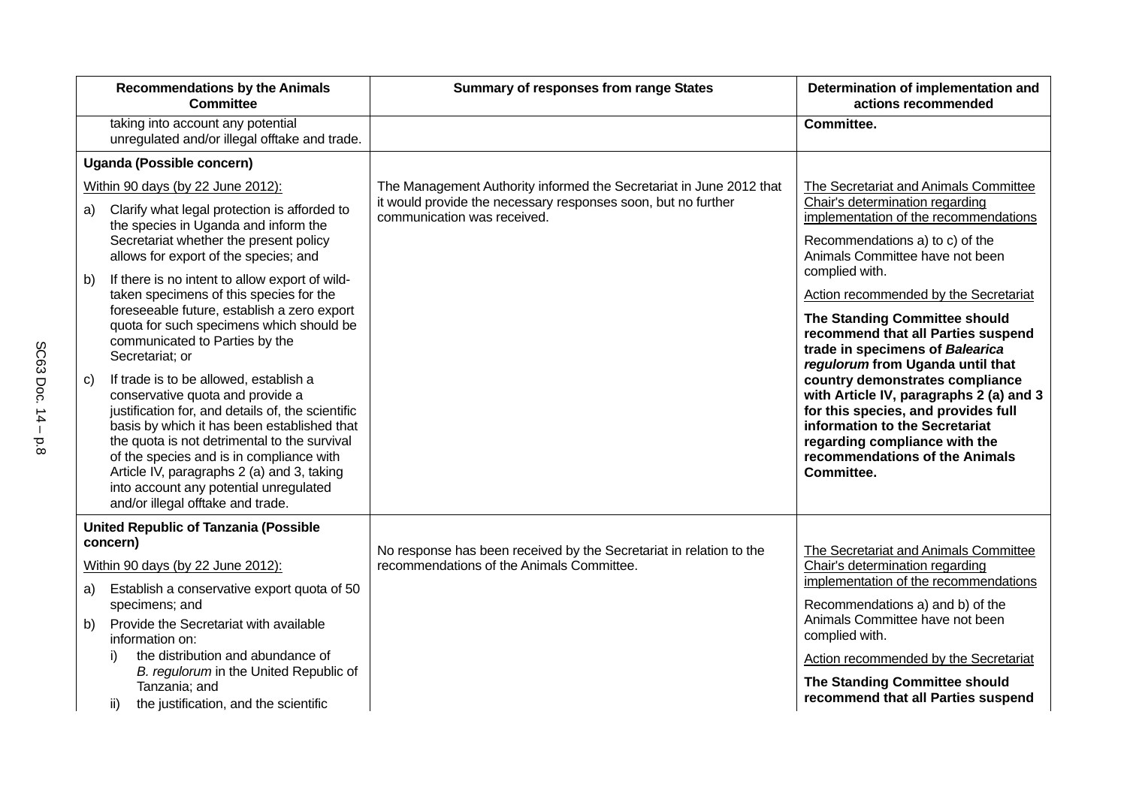|              | <b>Recommendations by the Animals</b><br><b>Committee</b>                                                                                                                                                                                                                                                                                                                                               | <b>Summary of responses from range States</b>                                                | Determination of implementation and<br>actions recommended                                                                                                                                                                           |
|--------------|---------------------------------------------------------------------------------------------------------------------------------------------------------------------------------------------------------------------------------------------------------------------------------------------------------------------------------------------------------------------------------------------------------|----------------------------------------------------------------------------------------------|--------------------------------------------------------------------------------------------------------------------------------------------------------------------------------------------------------------------------------------|
|              | taking into account any potential<br>unregulated and/or illegal offtake and trade.                                                                                                                                                                                                                                                                                                                      |                                                                                              | Committee.                                                                                                                                                                                                                           |
|              | Uganda (Possible concern)                                                                                                                                                                                                                                                                                                                                                                               |                                                                                              |                                                                                                                                                                                                                                      |
|              | Within 90 days (by 22 June 2012):                                                                                                                                                                                                                                                                                                                                                                       | The Management Authority informed the Secretariat in June 2012 that                          | The Secretariat and Animals Committee                                                                                                                                                                                                |
| a)           | Clarify what legal protection is afforded to<br>the species in Uganda and inform the<br>Secretariat whether the present policy<br>allows for export of the species; and                                                                                                                                                                                                                                 | it would provide the necessary responses soon, but no further<br>communication was received. | Chair's determination regarding<br>implementation of the recommendations<br>Recommendations a) to c) of the<br>Animals Committee have not been                                                                                       |
| b)           | If there is no intent to allow export of wild-<br>taken specimens of this species for the<br>foreseeable future, establish a zero export<br>quota for such specimens which should be<br>communicated to Parties by the<br>Secretariat; or                                                                                                                                                               |                                                                                              | complied with.<br>Action recommended by the Secretariat<br>The Standing Committee should<br>recommend that all Parties suspend<br>trade in specimens of Balearica<br>regulorum from Uganda until that                                |
| $\mathbf{C}$ | If trade is to be allowed, establish a<br>conservative quota and provide a<br>justification for, and details of, the scientific<br>basis by which it has been established that<br>the quota is not detrimental to the survival<br>of the species and is in compliance with<br>Article IV, paragraphs 2 (a) and 3, taking<br>into account any potential unregulated<br>and/or illegal offtake and trade. |                                                                                              | country demonstrates compliance<br>with Article IV, paragraphs 2 (a) and 3<br>for this species, and provides full<br>information to the Secretariat<br>regarding compliance with the<br>recommendations of the Animals<br>Committee. |
|              | <b>United Republic of Tanzania (Possible</b>                                                                                                                                                                                                                                                                                                                                                            |                                                                                              |                                                                                                                                                                                                                                      |
|              | concern)                                                                                                                                                                                                                                                                                                                                                                                                | No response has been received by the Secretariat in relation to the                          | The Secretariat and Animals Committee                                                                                                                                                                                                |
|              | Within 90 days (by 22 June 2012):                                                                                                                                                                                                                                                                                                                                                                       | recommendations of the Animals Committee.                                                    | Chair's determination regarding<br>implementation of the recommendations                                                                                                                                                             |
| a)           | Establish a conservative export quota of 50<br>specimens; and                                                                                                                                                                                                                                                                                                                                           |                                                                                              | Recommendations a) and b) of the                                                                                                                                                                                                     |
| b)           | Provide the Secretariat with available<br>information on:                                                                                                                                                                                                                                                                                                                                               |                                                                                              | Animals Committee have not been<br>complied with.                                                                                                                                                                                    |
|              | the distribution and abundance of<br>i)<br>B. regulorum in the United Republic of                                                                                                                                                                                                                                                                                                                       |                                                                                              | Action recommended by the Secretariat                                                                                                                                                                                                |
|              | Tanzania; and                                                                                                                                                                                                                                                                                                                                                                                           |                                                                                              | The Standing Committee should                                                                                                                                                                                                        |
|              | the justification, and the scientific<br>ii)                                                                                                                                                                                                                                                                                                                                                            |                                                                                              | recommend that all Parties suspend                                                                                                                                                                                                   |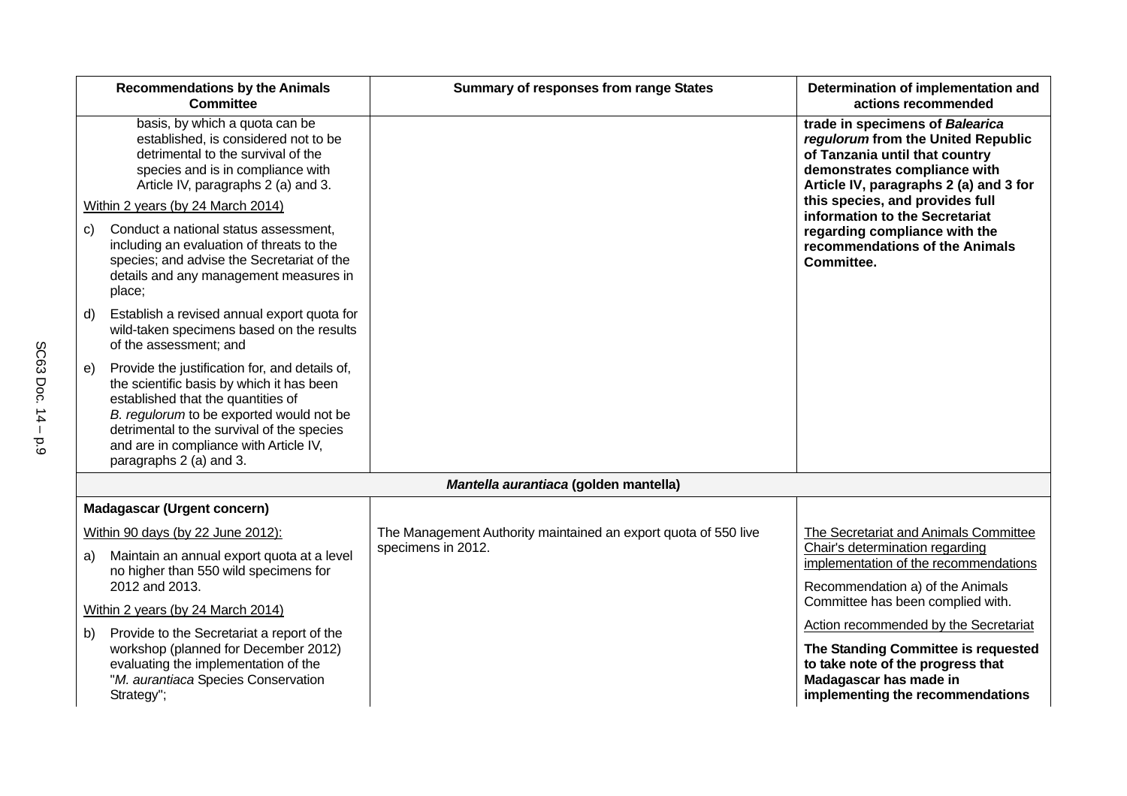|                                                                                                                                                                                          | <b>Recommendations by the Animals</b><br><b>Committee</b>                                                                                                                                                                                                                                        | <b>Summary of responses from range States</b>                   | Determination of implementation and<br>actions recommended                                                                                                                        |
|------------------------------------------------------------------------------------------------------------------------------------------------------------------------------------------|--------------------------------------------------------------------------------------------------------------------------------------------------------------------------------------------------------------------------------------------------------------------------------------------------|-----------------------------------------------------------------|-----------------------------------------------------------------------------------------------------------------------------------------------------------------------------------|
| basis, by which a quota can be<br>established, is considered not to be<br>detrimental to the survival of the<br>species and is in compliance with<br>Article IV, paragraphs 2 (a) and 3. |                                                                                                                                                                                                                                                                                                  |                                                                 | trade in specimens of Balearica<br>regulorum from the United Republic<br>of Tanzania until that country<br>demonstrates compliance with<br>Article IV, paragraphs 2 (a) and 3 for |
|                                                                                                                                                                                          | Within 2 years (by 24 March 2014)                                                                                                                                                                                                                                                                |                                                                 | this species, and provides full<br>information to the Secretariat                                                                                                                 |
| C)                                                                                                                                                                                       | Conduct a national status assessment,<br>including an evaluation of threats to the<br>species; and advise the Secretariat of the<br>details and any management measures in<br>place;                                                                                                             |                                                                 | regarding compliance with the<br>recommendations of the Animals<br>Committee.                                                                                                     |
| d)                                                                                                                                                                                       | Establish a revised annual export quota for<br>wild-taken specimens based on the results<br>of the assessment; and                                                                                                                                                                               |                                                                 |                                                                                                                                                                                   |
| e)                                                                                                                                                                                       | Provide the justification for, and details of,<br>the scientific basis by which it has been<br>established that the quantities of<br>B. regulorum to be exported would not be<br>detrimental to the survival of the species<br>and are in compliance with Article IV,<br>paragraphs 2 (a) and 3. |                                                                 |                                                                                                                                                                                   |
|                                                                                                                                                                                          |                                                                                                                                                                                                                                                                                                  | Mantella aurantiaca (golden mantella)                           |                                                                                                                                                                                   |
|                                                                                                                                                                                          | <b>Madagascar (Urgent concern)</b>                                                                                                                                                                                                                                                               |                                                                 |                                                                                                                                                                                   |
|                                                                                                                                                                                          | Within 90 days (by 22 June 2012):                                                                                                                                                                                                                                                                | The Management Authority maintained an export quota of 550 live | The Secretariat and Animals Committee                                                                                                                                             |
| a)                                                                                                                                                                                       | Maintain an annual export quota at a level<br>no higher than 550 wild specimens for                                                                                                                                                                                                              | specimens in 2012.                                              | Chair's determination regarding<br>implementation of the recommendations                                                                                                          |
|                                                                                                                                                                                          | 2012 and 2013.                                                                                                                                                                                                                                                                                   |                                                                 | Recommendation a) of the Animals<br>Committee has been complied with.                                                                                                             |
|                                                                                                                                                                                          | Within 2 years (by 24 March 2014)                                                                                                                                                                                                                                                                |                                                                 | Action recommended by the Secretariat                                                                                                                                             |
|                                                                                                                                                                                          | b) Provide to the Secretariat a report of the<br>workshop (planned for December 2012)<br>evaluating the implementation of the<br>"M. aurantiaca Species Conservation<br>Strategy";                                                                                                               |                                                                 | The Standing Committee is requested<br>to take note of the progress that<br>Madagascar has made in<br>implementing the recommendations                                            |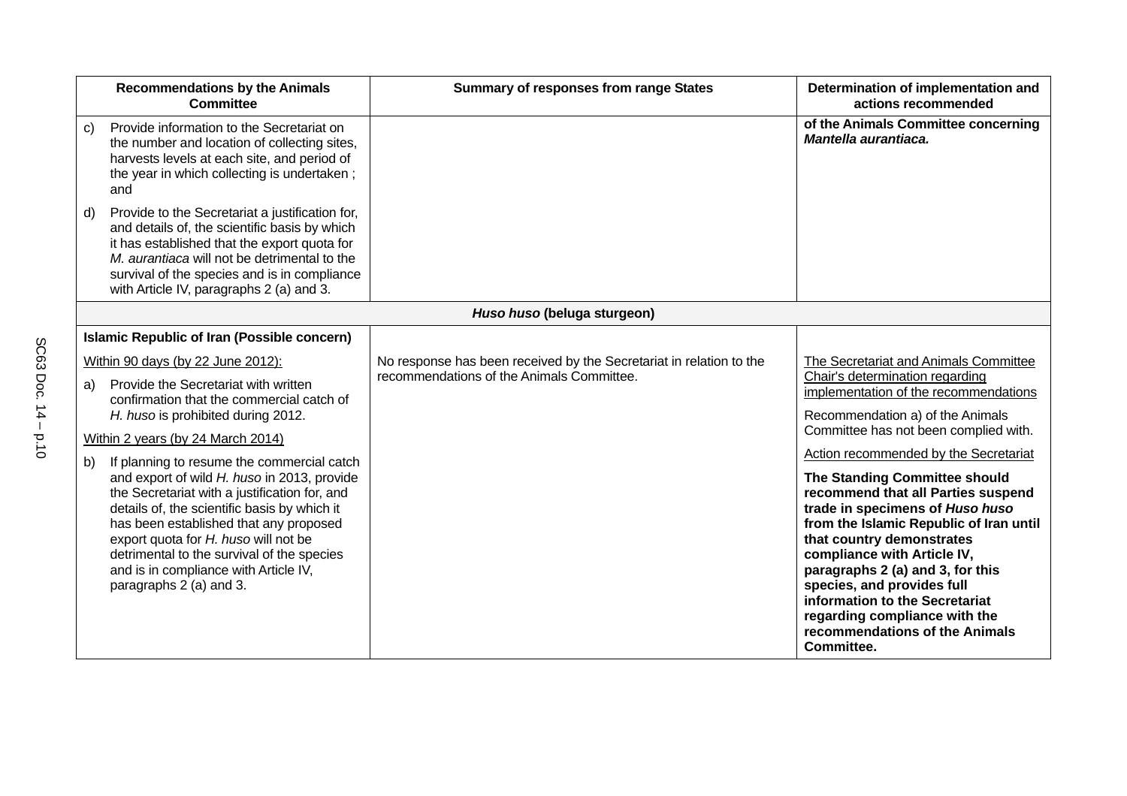| <b>Recommendations by the Animals</b><br><b>Committee</b>                                                                                                                                                                                                                                                                                                                                            | <b>Summary of responses from range States</b>                       | Determination of implementation and<br>actions recommended                                                                                                                                                                                                                                                                                                                                                                                  |
|------------------------------------------------------------------------------------------------------------------------------------------------------------------------------------------------------------------------------------------------------------------------------------------------------------------------------------------------------------------------------------------------------|---------------------------------------------------------------------|---------------------------------------------------------------------------------------------------------------------------------------------------------------------------------------------------------------------------------------------------------------------------------------------------------------------------------------------------------------------------------------------------------------------------------------------|
| Provide information to the Secretariat on<br>$\mathbf{C}$<br>the number and location of collecting sites,<br>harvests levels at each site, and period of<br>the year in which collecting is undertaken;<br>and                                                                                                                                                                                       |                                                                     | of the Animals Committee concerning<br>Mantella aurantiaca.                                                                                                                                                                                                                                                                                                                                                                                 |
| Provide to the Secretariat a justification for,<br>d)<br>and details of, the scientific basis by which<br>it has established that the export quota for<br>M. aurantiaca will not be detrimental to the<br>survival of the species and is in compliance<br>with Article IV, paragraphs 2 (a) and 3.                                                                                                   |                                                                     |                                                                                                                                                                                                                                                                                                                                                                                                                                             |
|                                                                                                                                                                                                                                                                                                                                                                                                      | Huso huso (beluga sturgeon)                                         |                                                                                                                                                                                                                                                                                                                                                                                                                                             |
| Islamic Republic of Iran (Possible concern)                                                                                                                                                                                                                                                                                                                                                          |                                                                     |                                                                                                                                                                                                                                                                                                                                                                                                                                             |
| Within 90 days (by 22 June 2012):                                                                                                                                                                                                                                                                                                                                                                    | No response has been received by the Secretariat in relation to the | The Secretariat and Animals Committee                                                                                                                                                                                                                                                                                                                                                                                                       |
| Provide the Secretariat with written<br>a)<br>confirmation that the commercial catch of<br>H. huso is prohibited during 2012.                                                                                                                                                                                                                                                                        | recommendations of the Animals Committee.                           | Chair's determination regarding<br>implementation of the recommendations<br>Recommendation a) of the Animals                                                                                                                                                                                                                                                                                                                                |
| Within 2 years (by 24 March 2014)                                                                                                                                                                                                                                                                                                                                                                    |                                                                     | Committee has not been complied with.                                                                                                                                                                                                                                                                                                                                                                                                       |
| If planning to resume the commercial catch<br>b)<br>and export of wild H. huso in 2013, provide<br>the Secretariat with a justification for, and<br>details of, the scientific basis by which it<br>has been established that any proposed<br>export quota for H. huso will not be<br>detrimental to the survival of the species<br>and is in compliance with Article IV,<br>paragraphs 2 (a) and 3. |                                                                     | Action recommended by the Secretariat<br>The Standing Committee should<br>recommend that all Parties suspend<br>trade in specimens of Huso huso<br>from the Islamic Republic of Iran until<br>that country demonstrates<br>compliance with Article IV,<br>paragraphs 2 (a) and 3, for this<br>species, and provides full<br>information to the Secretariat<br>regarding compliance with the<br>recommendations of the Animals<br>Committee. |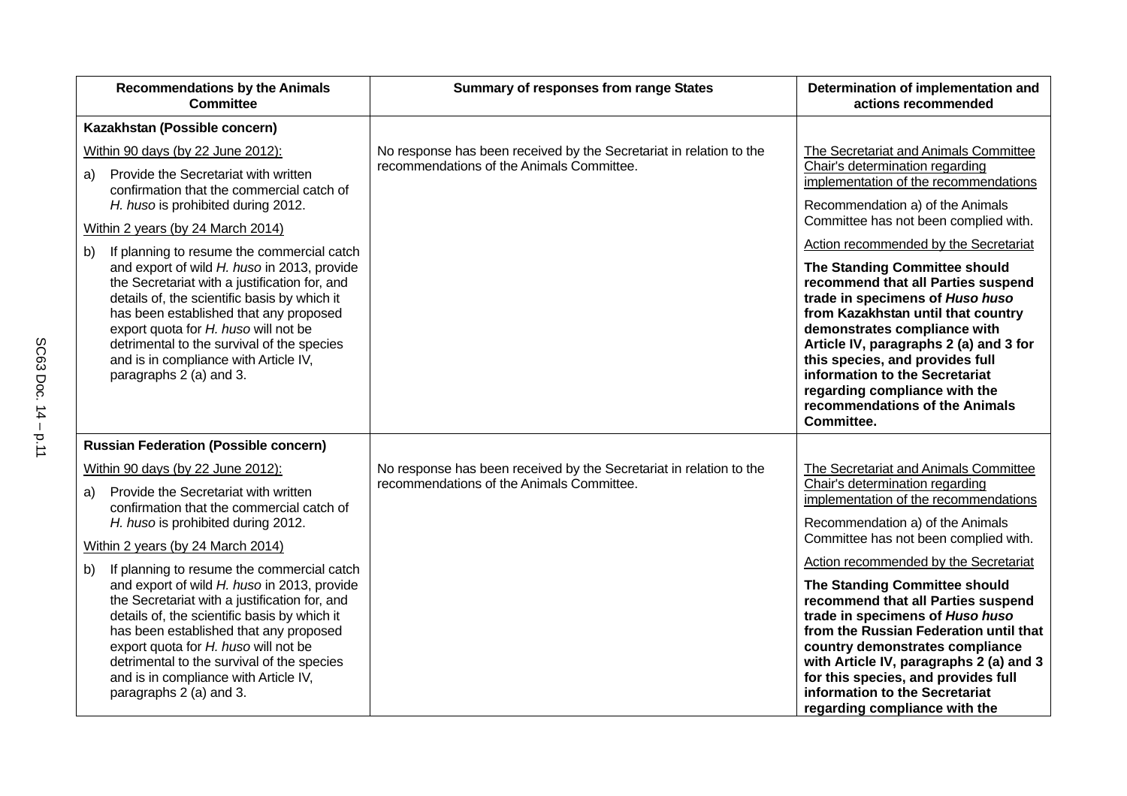| <b>Recommendations by the Animals</b><br><b>Committee</b>                                                                                                                                                                                                                                                                                                                                            | <b>Summary of responses from range States</b>                                                                    | Determination of implementation and<br>actions recommended                                                                                                                                                                                                                                                                                                                   |
|------------------------------------------------------------------------------------------------------------------------------------------------------------------------------------------------------------------------------------------------------------------------------------------------------------------------------------------------------------------------------------------------------|------------------------------------------------------------------------------------------------------------------|------------------------------------------------------------------------------------------------------------------------------------------------------------------------------------------------------------------------------------------------------------------------------------------------------------------------------------------------------------------------------|
| Kazakhstan (Possible concern)                                                                                                                                                                                                                                                                                                                                                                        |                                                                                                                  |                                                                                                                                                                                                                                                                                                                                                                              |
| Within 90 days (by 22 June 2012):                                                                                                                                                                                                                                                                                                                                                                    | No response has been received by the Secretariat in relation to the<br>recommendations of the Animals Committee. | The Secretariat and Animals Committee                                                                                                                                                                                                                                                                                                                                        |
| Provide the Secretariat with written<br>a)<br>confirmation that the commercial catch of                                                                                                                                                                                                                                                                                                              |                                                                                                                  | Chair's determination regarding<br>implementation of the recommendations                                                                                                                                                                                                                                                                                                     |
| H. huso is prohibited during 2012.                                                                                                                                                                                                                                                                                                                                                                   |                                                                                                                  | Recommendation a) of the Animals<br>Committee has not been complied with.                                                                                                                                                                                                                                                                                                    |
| Within 2 years (by 24 March 2014)                                                                                                                                                                                                                                                                                                                                                                    |                                                                                                                  | Action recommended by the Secretariat                                                                                                                                                                                                                                                                                                                                        |
| If planning to resume the commercial catch<br>b)<br>and export of wild H. huso in 2013, provide<br>the Secretariat with a justification for, and<br>details of, the scientific basis by which it<br>has been established that any proposed<br>export quota for H. huso will not be<br>detrimental to the survival of the species<br>and is in compliance with Article IV,<br>paragraphs 2 (a) and 3. |                                                                                                                  | The Standing Committee should<br>recommend that all Parties suspend<br>trade in specimens of Huso huso<br>from Kazakhstan until that country<br>demonstrates compliance with<br>Article IV, paragraphs 2 (a) and 3 for<br>this species, and provides full<br>information to the Secretariat<br>regarding compliance with the<br>recommendations of the Animals<br>Committee. |
| <b>Russian Federation (Possible concern)</b>                                                                                                                                                                                                                                                                                                                                                         |                                                                                                                  |                                                                                                                                                                                                                                                                                                                                                                              |
| Within 90 days (by 22 June 2012):                                                                                                                                                                                                                                                                                                                                                                    | No response has been received by the Secretariat in relation to the                                              | The Secretariat and Animals Committee                                                                                                                                                                                                                                                                                                                                        |
| Provide the Secretariat with written<br>a)<br>confirmation that the commercial catch of                                                                                                                                                                                                                                                                                                              | recommendations of the Animals Committee.                                                                        | Chair's determination regarding<br>implementation of the recommendations                                                                                                                                                                                                                                                                                                     |
| H. huso is prohibited during 2012.                                                                                                                                                                                                                                                                                                                                                                   |                                                                                                                  | Recommendation a) of the Animals                                                                                                                                                                                                                                                                                                                                             |
| Within 2 years (by 24 March 2014)                                                                                                                                                                                                                                                                                                                                                                    |                                                                                                                  | Committee has not been complied with.                                                                                                                                                                                                                                                                                                                                        |
| If planning to resume the commercial catch<br>b)                                                                                                                                                                                                                                                                                                                                                     |                                                                                                                  | Action recommended by the Secretariat                                                                                                                                                                                                                                                                                                                                        |
| and export of wild H. huso in 2013, provide<br>the Secretariat with a justification for, and<br>details of, the scientific basis by which it<br>has been established that any proposed<br>export quota for H. huso will not be<br>detrimental to the survival of the species<br>and is in compliance with Article IV,<br>paragraphs 2 (a) and 3.                                                     |                                                                                                                  | The Standing Committee should<br>recommend that all Parties suspend<br>trade in specimens of Huso huso<br>from the Russian Federation until that<br>country demonstrates compliance<br>with Article IV, paragraphs 2 (a) and 3<br>for this species, and provides full<br>information to the Secretariat<br>regarding compliance with the                                     |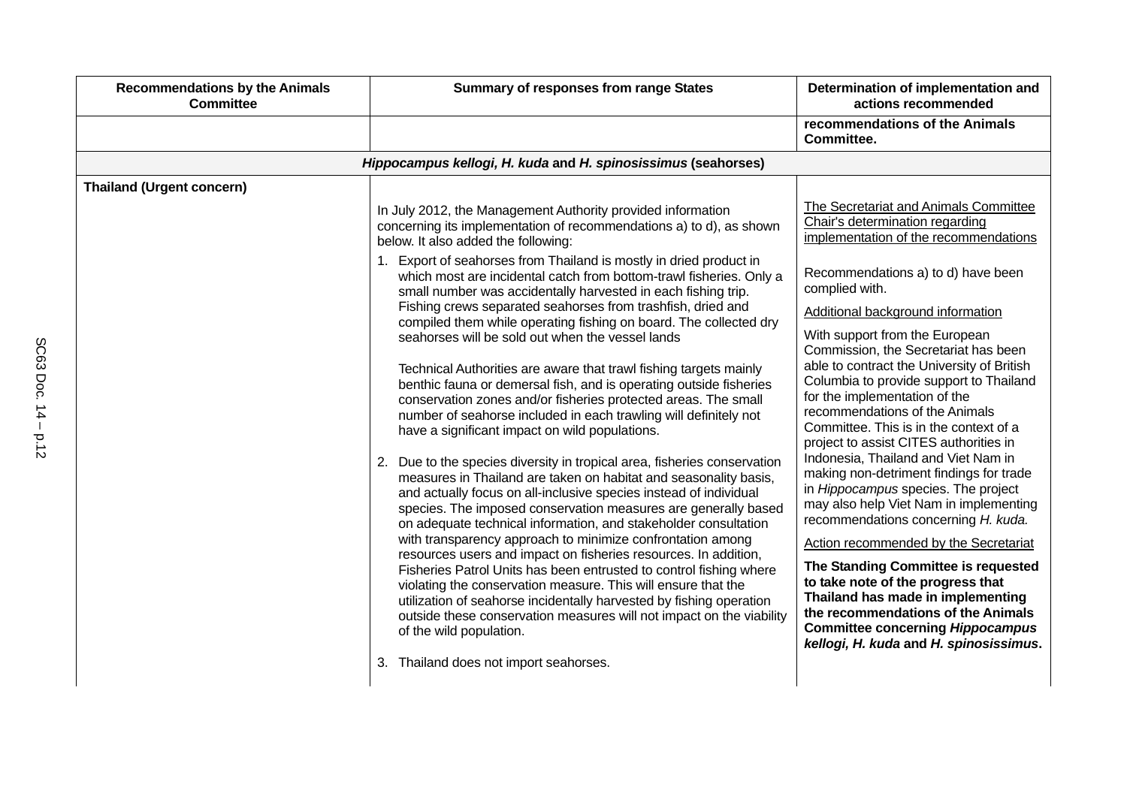| <b>Recommendations by the Animals</b><br><b>Committee</b> | <b>Summary of responses from range States</b>                                                                                                                                                                                                                                                                                                                                                                                                                                                                                                                                                                                                                                                                                                                                                                                                                                                                                                                                                                                                                                                                                                                                                                                                                                                                                                                                                                                                                                                                                                        | Determination of implementation and<br>actions recommended                                                                                                                                                                                                                                                                                                                                                                                                                                                                                                                                                                                                                                                                                                                                                                                                              |
|-----------------------------------------------------------|------------------------------------------------------------------------------------------------------------------------------------------------------------------------------------------------------------------------------------------------------------------------------------------------------------------------------------------------------------------------------------------------------------------------------------------------------------------------------------------------------------------------------------------------------------------------------------------------------------------------------------------------------------------------------------------------------------------------------------------------------------------------------------------------------------------------------------------------------------------------------------------------------------------------------------------------------------------------------------------------------------------------------------------------------------------------------------------------------------------------------------------------------------------------------------------------------------------------------------------------------------------------------------------------------------------------------------------------------------------------------------------------------------------------------------------------------------------------------------------------------------------------------------------------------|-------------------------------------------------------------------------------------------------------------------------------------------------------------------------------------------------------------------------------------------------------------------------------------------------------------------------------------------------------------------------------------------------------------------------------------------------------------------------------------------------------------------------------------------------------------------------------------------------------------------------------------------------------------------------------------------------------------------------------------------------------------------------------------------------------------------------------------------------------------------------|
|                                                           |                                                                                                                                                                                                                                                                                                                                                                                                                                                                                                                                                                                                                                                                                                                                                                                                                                                                                                                                                                                                                                                                                                                                                                                                                                                                                                                                                                                                                                                                                                                                                      | recommendations of the Animals<br>Committee.                                                                                                                                                                                                                                                                                                                                                                                                                                                                                                                                                                                                                                                                                                                                                                                                                            |
|                                                           | Hippocampus kellogi, H. kuda and H. spinosissimus (seahorses)                                                                                                                                                                                                                                                                                                                                                                                                                                                                                                                                                                                                                                                                                                                                                                                                                                                                                                                                                                                                                                                                                                                                                                                                                                                                                                                                                                                                                                                                                        |                                                                                                                                                                                                                                                                                                                                                                                                                                                                                                                                                                                                                                                                                                                                                                                                                                                                         |
| <b>Thailand (Urgent concern)</b>                          | In July 2012, the Management Authority provided information<br>concerning its implementation of recommendations a) to d), as shown<br>below. It also added the following:<br>1. Export of seahorses from Thailand is mostly in dried product in<br>which most are incidental catch from bottom-trawl fisheries. Only a<br>small number was accidentally harvested in each fishing trip.<br>Fishing crews separated seahorses from trashfish, dried and<br>compiled them while operating fishing on board. The collected dry<br>seahorses will be sold out when the vessel lands<br>Technical Authorities are aware that trawl fishing targets mainly<br>benthic fauna or demersal fish, and is operating outside fisheries<br>conservation zones and/or fisheries protected areas. The small<br>number of seahorse included in each trawling will definitely not<br>have a significant impact on wild populations.<br>2. Due to the species diversity in tropical area, fisheries conservation<br>measures in Thailand are taken on habitat and seasonality basis,<br>and actually focus on all-inclusive species instead of individual<br>species. The imposed conservation measures are generally based<br>on adequate technical information, and stakeholder consultation<br>with transparency approach to minimize confrontation among<br>resources users and impact on fisheries resources. In addition,<br>Fisheries Patrol Units has been entrusted to control fishing where<br>violating the conservation measure. This will ensure that the | The Secretariat and Animals Committee<br>Chair's determination regarding<br>implementation of the recommendations<br>Recommendations a) to d) have been<br>complied with.<br>Additional background information<br>With support from the European<br>Commission, the Secretariat has been<br>able to contract the University of British<br>Columbia to provide support to Thailand<br>for the implementation of the<br>recommendations of the Animals<br>Committee. This is in the context of a<br>project to assist CITES authorities in<br>Indonesia, Thailand and Viet Nam in<br>making non-detriment findings for trade<br>in Hippocampus species. The project<br>may also help Viet Nam in implementing<br>recommendations concerning H. kuda.<br>Action recommended by the Secretariat<br>The Standing Committee is requested<br>to take note of the progress that |
|                                                           | utilization of seahorse incidentally harvested by fishing operation<br>outside these conservation measures will not impact on the viability<br>of the wild population.<br>3. Thailand does not import seahorses.                                                                                                                                                                                                                                                                                                                                                                                                                                                                                                                                                                                                                                                                                                                                                                                                                                                                                                                                                                                                                                                                                                                                                                                                                                                                                                                                     | Thailand has made in implementing<br>the recommendations of the Animals<br><b>Committee concerning Hippocampus</b><br>kellogi, H. kuda and H. spinosissimus.                                                                                                                                                                                                                                                                                                                                                                                                                                                                                                                                                                                                                                                                                                            |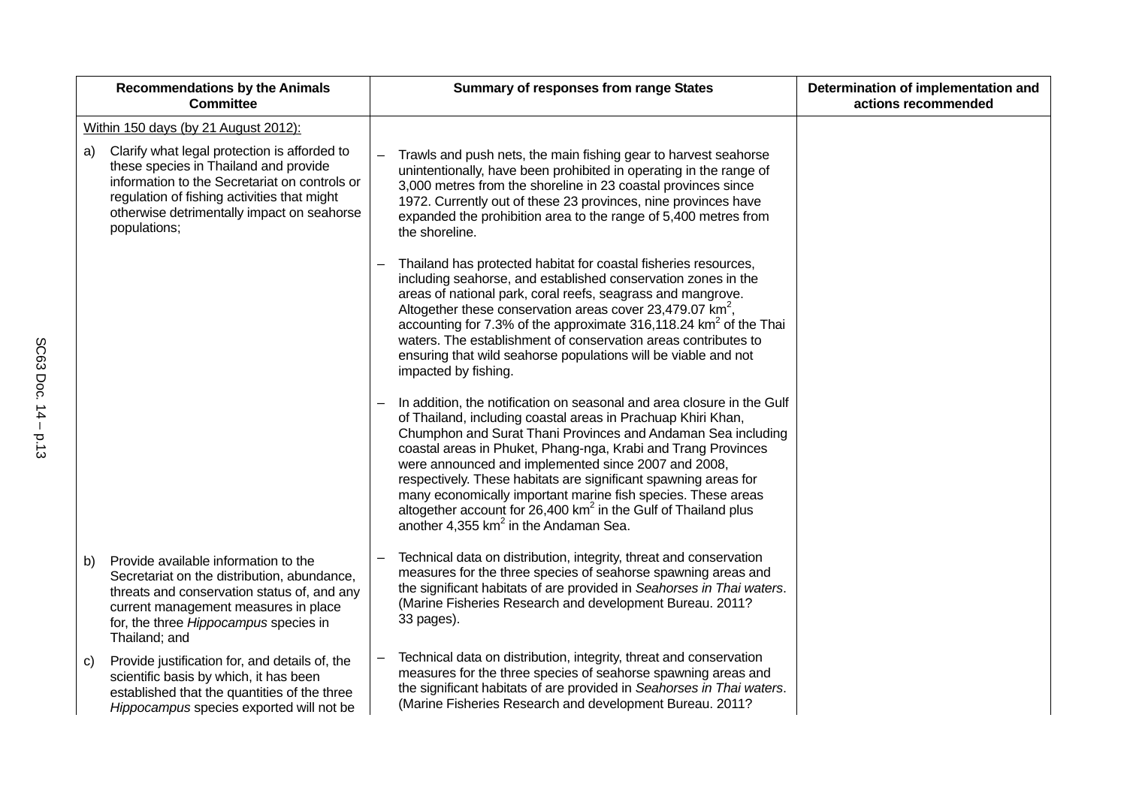|    | <b>Recommendations by the Animals</b><br><b>Committee</b>                                                                                                                                                                                           | <b>Summary of responses from range States</b>                                                                                                                                                                                                                                                                                                                                                                                                                                                                                                                                               | Determination of implementation and<br>actions recommended |
|----|-----------------------------------------------------------------------------------------------------------------------------------------------------------------------------------------------------------------------------------------------------|---------------------------------------------------------------------------------------------------------------------------------------------------------------------------------------------------------------------------------------------------------------------------------------------------------------------------------------------------------------------------------------------------------------------------------------------------------------------------------------------------------------------------------------------------------------------------------------------|------------------------------------------------------------|
|    | Within 150 days (by 21 August 2012):                                                                                                                                                                                                                |                                                                                                                                                                                                                                                                                                                                                                                                                                                                                                                                                                                             |                                                            |
| a) | Clarify what legal protection is afforded to<br>these species in Thailand and provide<br>information to the Secretariat on controls or<br>regulation of fishing activities that might<br>otherwise detrimentally impact on seahorse<br>populations; | Trawls and push nets, the main fishing gear to harvest seahorse<br>unintentionally, have been prohibited in operating in the range of<br>3,000 metres from the shoreline in 23 coastal provinces since<br>1972. Currently out of these 23 provinces, nine provinces have<br>expanded the prohibition area to the range of 5,400 metres from<br>the shoreline.                                                                                                                                                                                                                               |                                                            |
|    |                                                                                                                                                                                                                                                     | Thailand has protected habitat for coastal fisheries resources,<br>including seahorse, and established conservation zones in the<br>areas of national park, coral reefs, seagrass and mangrove.<br>Altogether these conservation areas cover 23,479.07 $km^2$ ,<br>accounting for 7.3% of the approximate 316,118.24 km <sup>2</sup> of the Thai<br>waters. The establishment of conservation areas contributes to<br>ensuring that wild seahorse populations will be viable and not<br>impacted by fishing.                                                                                |                                                            |
|    |                                                                                                                                                                                                                                                     | In addition, the notification on seasonal and area closure in the Gulf<br>of Thailand, including coastal areas in Prachuap Khiri Khan,<br>Chumphon and Surat Thani Provinces and Andaman Sea including<br>coastal areas in Phuket, Phang-nga, Krabi and Trang Provinces<br>were announced and implemented since 2007 and 2008,<br>respectively. These habitats are significant spawning areas for<br>many economically important marine fish species. These areas<br>altogether account for 26,400 $km^2$ in the Gulf of Thailand plus<br>another 4,355 km <sup>2</sup> in the Andaman Sea. |                                                            |
| b) | Provide available information to the<br>Secretariat on the distribution, abundance,<br>threats and conservation status of, and any<br>current management measures in place<br>for, the three Hippocampus species in<br>Thailand; and                | Technical data on distribution, integrity, threat and conservation<br>measures for the three species of seahorse spawning areas and<br>the significant habitats of are provided in Seahorses in Thai waters.<br>(Marine Fisheries Research and development Bureau. 2011?<br>33 pages).                                                                                                                                                                                                                                                                                                      |                                                            |
| C) | Provide justification for, and details of, the<br>scientific basis by which, it has been<br>established that the quantities of the three<br>Hippocampus species exported will not be                                                                | Technical data on distribution, integrity, threat and conservation<br>measures for the three species of seahorse spawning areas and<br>the significant habitats of are provided in Seahorses in Thai waters.<br>(Marine Fisheries Research and development Bureau. 2011?                                                                                                                                                                                                                                                                                                                    |                                                            |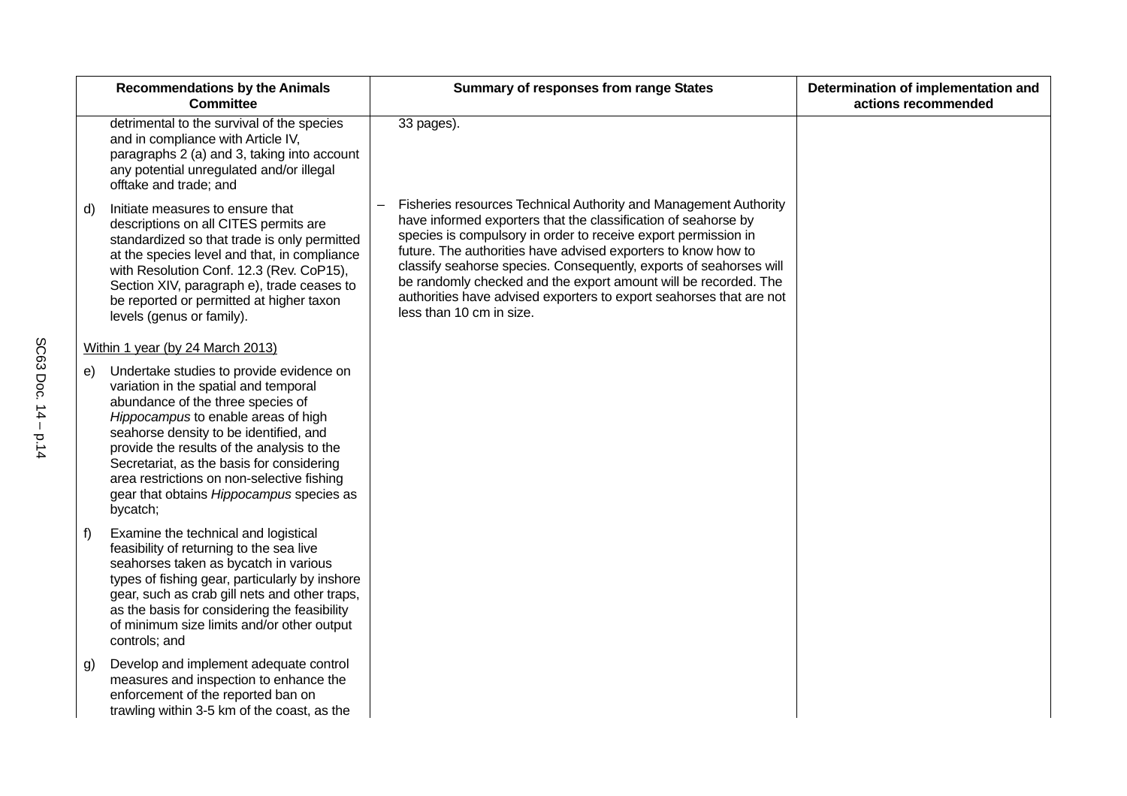|    | <b>Recommendations by the Animals</b><br><b>Committee</b>                                                                                                                                                                                                                                                                                                                                                | <b>Summary of responses from range States</b>                                                                                                                                                                                                                                                                                                                                                                                                                                                                     | Determination of implementation and<br>actions recommended |
|----|----------------------------------------------------------------------------------------------------------------------------------------------------------------------------------------------------------------------------------------------------------------------------------------------------------------------------------------------------------------------------------------------------------|-------------------------------------------------------------------------------------------------------------------------------------------------------------------------------------------------------------------------------------------------------------------------------------------------------------------------------------------------------------------------------------------------------------------------------------------------------------------------------------------------------------------|------------------------------------------------------------|
|    | detrimental to the survival of the species<br>and in compliance with Article IV,<br>paragraphs 2 (a) and 3, taking into account<br>any potential unregulated and/or illegal<br>offtake and trade; and                                                                                                                                                                                                    | 33 pages).                                                                                                                                                                                                                                                                                                                                                                                                                                                                                                        |                                                            |
| d) | Initiate measures to ensure that<br>descriptions on all CITES permits are<br>standardized so that trade is only permitted<br>at the species level and that, in compliance<br>with Resolution Conf. 12.3 (Rev. CoP15),<br>Section XIV, paragraph e), trade ceases to<br>be reported or permitted at higher taxon<br>levels (genus or family).                                                             | Fisheries resources Technical Authority and Management Authority<br>have informed exporters that the classification of seahorse by<br>species is compulsory in order to receive export permission in<br>future. The authorities have advised exporters to know how to<br>classify seahorse species. Consequently, exports of seahorses will<br>be randomly checked and the export amount will be recorded. The<br>authorities have advised exporters to export seahorses that are not<br>less than 10 cm in size. |                                                            |
|    | Within 1 year (by 24 March 2013)                                                                                                                                                                                                                                                                                                                                                                         |                                                                                                                                                                                                                                                                                                                                                                                                                                                                                                                   |                                                            |
| e) | Undertake studies to provide evidence on<br>variation in the spatial and temporal<br>abundance of the three species of<br>Hippocampus to enable areas of high<br>seahorse density to be identified, and<br>provide the results of the analysis to the<br>Secretariat, as the basis for considering<br>area restrictions on non-selective fishing<br>gear that obtains Hippocampus species as<br>bycatch; |                                                                                                                                                                                                                                                                                                                                                                                                                                                                                                                   |                                                            |
| f) | Examine the technical and logistical<br>feasibility of returning to the sea live<br>seahorses taken as bycatch in various<br>types of fishing gear, particularly by inshore<br>gear, such as crab gill nets and other traps,<br>as the basis for considering the feasibility<br>of minimum size limits and/or other output<br>controls; and                                                              |                                                                                                                                                                                                                                                                                                                                                                                                                                                                                                                   |                                                            |
| g) | Develop and implement adequate control<br>measures and inspection to enhance the<br>enforcement of the reported ban on<br>trawling within 3-5 km of the coast, as the                                                                                                                                                                                                                                    |                                                                                                                                                                                                                                                                                                                                                                                                                                                                                                                   |                                                            |
|    |                                                                                                                                                                                                                                                                                                                                                                                                          |                                                                                                                                                                                                                                                                                                                                                                                                                                                                                                                   |                                                            |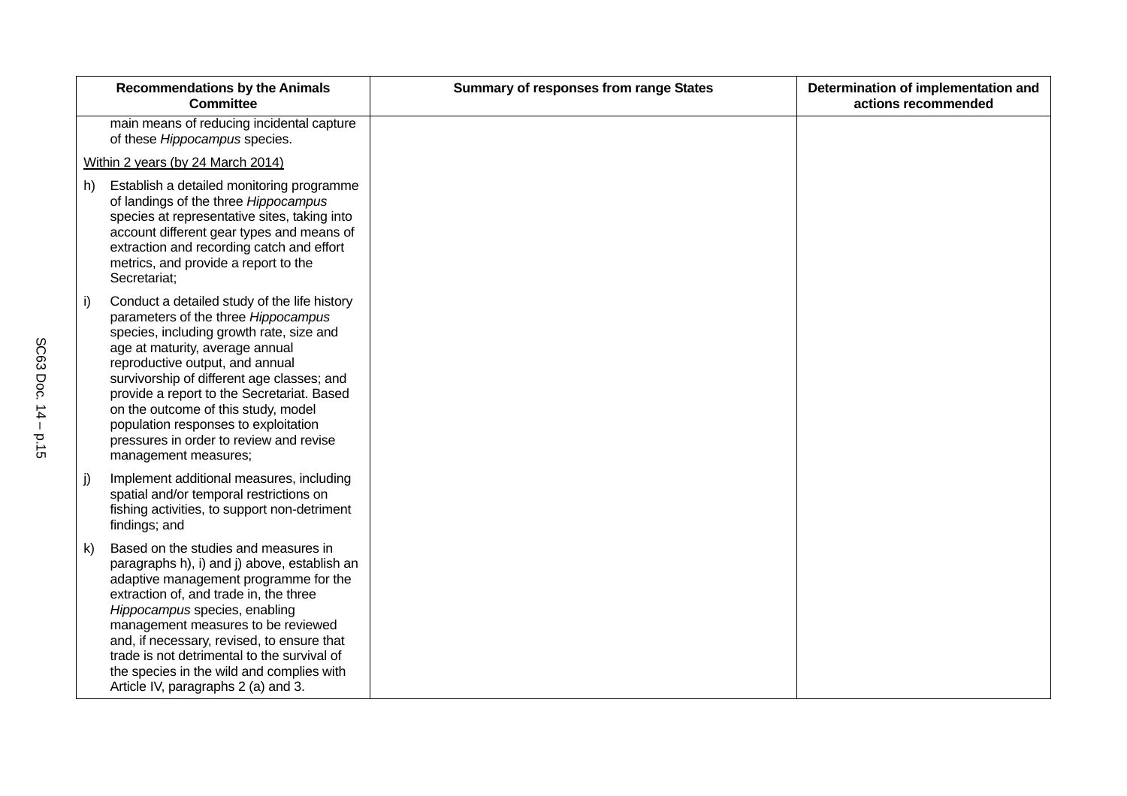|            | <b>Recommendations by the Animals</b><br><b>Committee</b>                                                                                                                                                                                                                                                                                                                                                                                           | <b>Summary of responses from range States</b> | Determination of implementation and<br>actions recommended |
|------------|-----------------------------------------------------------------------------------------------------------------------------------------------------------------------------------------------------------------------------------------------------------------------------------------------------------------------------------------------------------------------------------------------------------------------------------------------------|-----------------------------------------------|------------------------------------------------------------|
|            | main means of reducing incidental capture<br>of these Hippocampus species.                                                                                                                                                                                                                                                                                                                                                                          |                                               |                                                            |
|            | Within 2 years (by 24 March 2014)                                                                                                                                                                                                                                                                                                                                                                                                                   |                                               |                                                            |
| h)         | Establish a detailed monitoring programme<br>of landings of the three Hippocampus<br>species at representative sites, taking into<br>account different gear types and means of<br>extraction and recording catch and effort<br>metrics, and provide a report to the<br>Secretariat;                                                                                                                                                                 |                                               |                                                            |
| $\vert$ i) | Conduct a detailed study of the life history<br>parameters of the three Hippocampus<br>species, including growth rate, size and<br>age at maturity, average annual<br>reproductive output, and annual<br>survivorship of different age classes; and<br>provide a report to the Secretariat. Based<br>on the outcome of this study, model<br>population responses to exploitation<br>pressures in order to review and revise<br>management measures; |                                               |                                                            |
| $ $ j)     | Implement additional measures, including<br>spatial and/or temporal restrictions on<br>fishing activities, to support non-detriment<br>findings; and                                                                                                                                                                                                                                                                                                |                                               |                                                            |
| k)         | Based on the studies and measures in<br>paragraphs h), i) and j) above, establish an<br>adaptive management programme for the<br>extraction of, and trade in, the three<br>Hippocampus species, enabling<br>management measures to be reviewed<br>and, if necessary, revised, to ensure that<br>trade is not detrimental to the survival of<br>the species in the wild and complies with<br>Article IV, paragraphs 2 (a) and 3.                     |                                               |                                                            |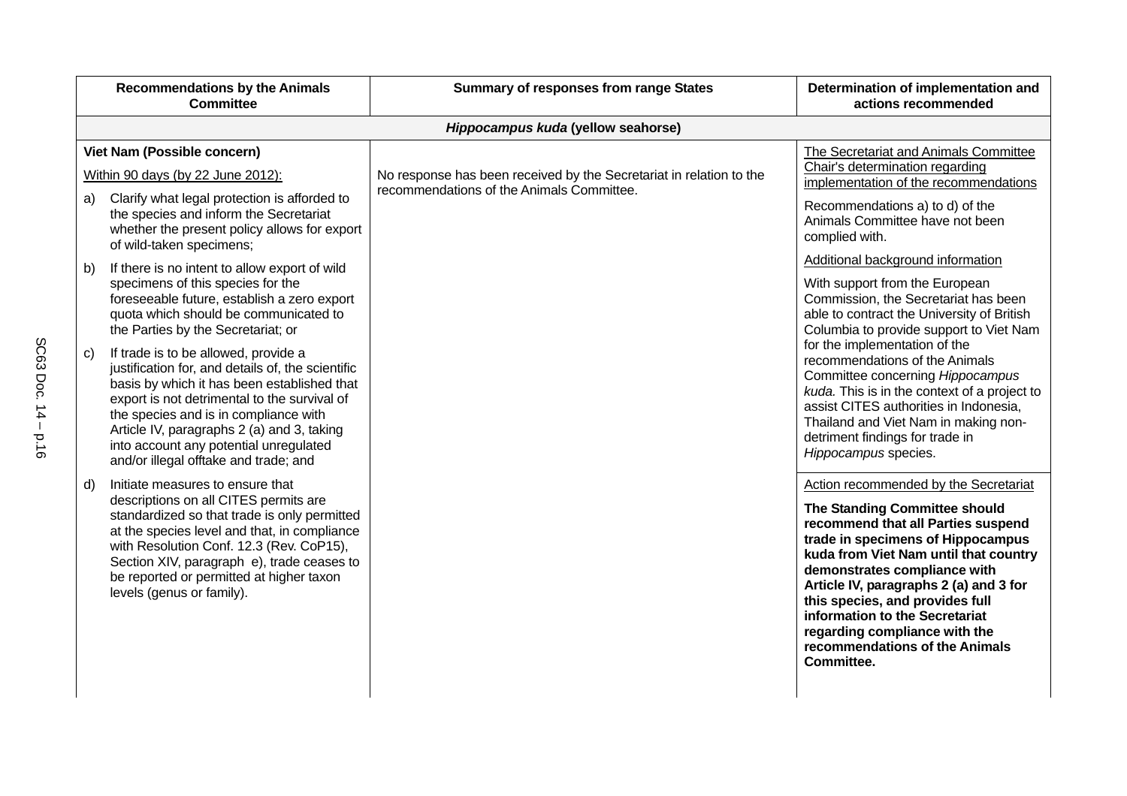|    | <b>Recommendations by the Animals</b><br><b>Committee</b>                                                                                                                                                                                                                                                                                                          | <b>Summary of responses from range States</b>                       | Determination of implementation and<br>actions recommended                                                                                                                                                                                                                                                                                                                                                                 |
|----|--------------------------------------------------------------------------------------------------------------------------------------------------------------------------------------------------------------------------------------------------------------------------------------------------------------------------------------------------------------------|---------------------------------------------------------------------|----------------------------------------------------------------------------------------------------------------------------------------------------------------------------------------------------------------------------------------------------------------------------------------------------------------------------------------------------------------------------------------------------------------------------|
|    |                                                                                                                                                                                                                                                                                                                                                                    | Hippocampus kuda (yellow seahorse)                                  |                                                                                                                                                                                                                                                                                                                                                                                                                            |
|    | Viet Nam (Possible concern)<br>Within 90 days (by 22 June 2012):                                                                                                                                                                                                                                                                                                   | No response has been received by the Secretariat in relation to the | The Secretariat and Animals Committee<br>Chair's determination regarding                                                                                                                                                                                                                                                                                                                                                   |
| a) | Clarify what legal protection is afforded to                                                                                                                                                                                                                                                                                                                       | recommendations of the Animals Committee.                           | implementation of the recommendations                                                                                                                                                                                                                                                                                                                                                                                      |
|    | the species and inform the Secretariat<br>whether the present policy allows for export<br>of wild-taken specimens;                                                                                                                                                                                                                                                 |                                                                     | Recommendations a) to d) of the<br>Animals Committee have not been<br>complied with.                                                                                                                                                                                                                                                                                                                                       |
| b) | If there is no intent to allow export of wild                                                                                                                                                                                                                                                                                                                      |                                                                     | Additional background information                                                                                                                                                                                                                                                                                                                                                                                          |
|    | specimens of this species for the<br>foreseeable future, establish a zero export<br>quota which should be communicated to<br>the Parties by the Secretariat; or                                                                                                                                                                                                    |                                                                     | With support from the European<br>Commission, the Secretariat has been<br>able to contract the University of British<br>Columbia to provide support to Viet Nam                                                                                                                                                                                                                                                            |
| C) | If trade is to be allowed, provide a<br>justification for, and details of, the scientific<br>basis by which it has been established that<br>export is not detrimental to the survival of<br>the species and is in compliance with<br>Article IV, paragraphs 2 (a) and 3, taking<br>into account any potential unregulated<br>and/or illegal offtake and trade; and |                                                                     | for the implementation of the<br>recommendations of the Animals<br>Committee concerning Hippocampus<br>kuda. This is in the context of a project to<br>assist CITES authorities in Indonesia,<br>Thailand and Viet Nam in making non-<br>detriment findings for trade in<br>Hippocampus species.                                                                                                                           |
| d) | Initiate measures to ensure that<br>descriptions on all CITES permits are<br>standardized so that trade is only permitted<br>at the species level and that, in compliance<br>with Resolution Conf. 12.3 (Rev. CoP15),<br>Section XIV, paragraph e), trade ceases to<br>be reported or permitted at higher taxon<br>levels (genus or family).                       |                                                                     | Action recommended by the Secretariat<br>The Standing Committee should<br>recommend that all Parties suspend<br>trade in specimens of Hippocampus<br>kuda from Viet Nam until that country<br>demonstrates compliance with<br>Article IV, paragraphs 2 (a) and 3 for<br>this species, and provides full<br>information to the Secretariat<br>regarding compliance with the<br>recommendations of the Animals<br>Committee. |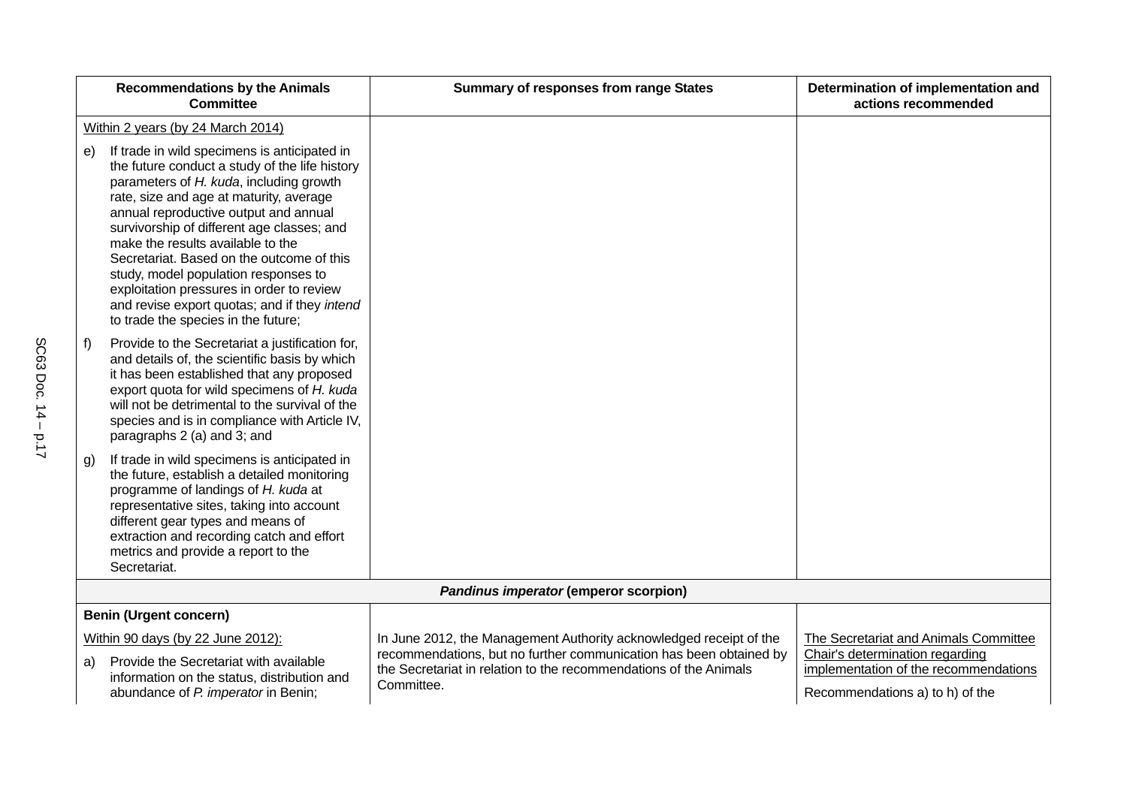|    | <b>Recommendations by the Animals</b><br><b>Committee</b>                                                                                                                                                                                                                                                                                                                                                                                                                                                                                 | <b>Summary of responses from range States</b>                                                                                                         | Determination of implementation and<br>actions recommended                                                  |
|----|-------------------------------------------------------------------------------------------------------------------------------------------------------------------------------------------------------------------------------------------------------------------------------------------------------------------------------------------------------------------------------------------------------------------------------------------------------------------------------------------------------------------------------------------|-------------------------------------------------------------------------------------------------------------------------------------------------------|-------------------------------------------------------------------------------------------------------------|
|    | Within 2 years (by 24 March 2014)                                                                                                                                                                                                                                                                                                                                                                                                                                                                                                         |                                                                                                                                                       |                                                                                                             |
| e) | If trade in wild specimens is anticipated in<br>the future conduct a study of the life history<br>parameters of H. kuda, including growth<br>rate, size and age at maturity, average<br>annual reproductive output and annual<br>survivorship of different age classes; and<br>make the results available to the<br>Secretariat. Based on the outcome of this<br>study, model population responses to<br>exploitation pressures in order to review<br>and revise export quotas; and if they intend<br>to trade the species in the future; |                                                                                                                                                       |                                                                                                             |
| f  | Provide to the Secretariat a justification for,<br>and details of, the scientific basis by which<br>it has been established that any proposed<br>export quota for wild specimens of H. kuda<br>will not be detrimental to the survival of the<br>species and is in compliance with Article IV,<br>paragraphs 2 (a) and 3; and                                                                                                                                                                                                             |                                                                                                                                                       |                                                                                                             |
| g) | If trade in wild specimens is anticipated in<br>the future, establish a detailed monitoring<br>programme of landings of H. kuda at<br>representative sites, taking into account<br>different gear types and means of<br>extraction and recording catch and effort<br>metrics and provide a report to the<br>Secretariat.                                                                                                                                                                                                                  |                                                                                                                                                       |                                                                                                             |
|    |                                                                                                                                                                                                                                                                                                                                                                                                                                                                                                                                           | Pandinus imperator (emperor scorpion)                                                                                                                 |                                                                                                             |
|    | <b>Benin (Urgent concern)</b>                                                                                                                                                                                                                                                                                                                                                                                                                                                                                                             |                                                                                                                                                       |                                                                                                             |
|    | Within 90 days (by 22 June 2012):                                                                                                                                                                                                                                                                                                                                                                                                                                                                                                         | In June 2012, the Management Authority acknowledged receipt of the                                                                                    | The Secretariat and Animals Committee                                                                       |
| a) | Provide the Secretariat with available<br>information on the status, distribution and<br>abundance of P. imperator in Benin;                                                                                                                                                                                                                                                                                                                                                                                                              | recommendations, but no further communication has been obtained by<br>the Secretariat in relation to the recommendations of the Animals<br>Committee. | Chair's determination regarding<br>implementation of the recommendations<br>Recommendations a) to h) of the |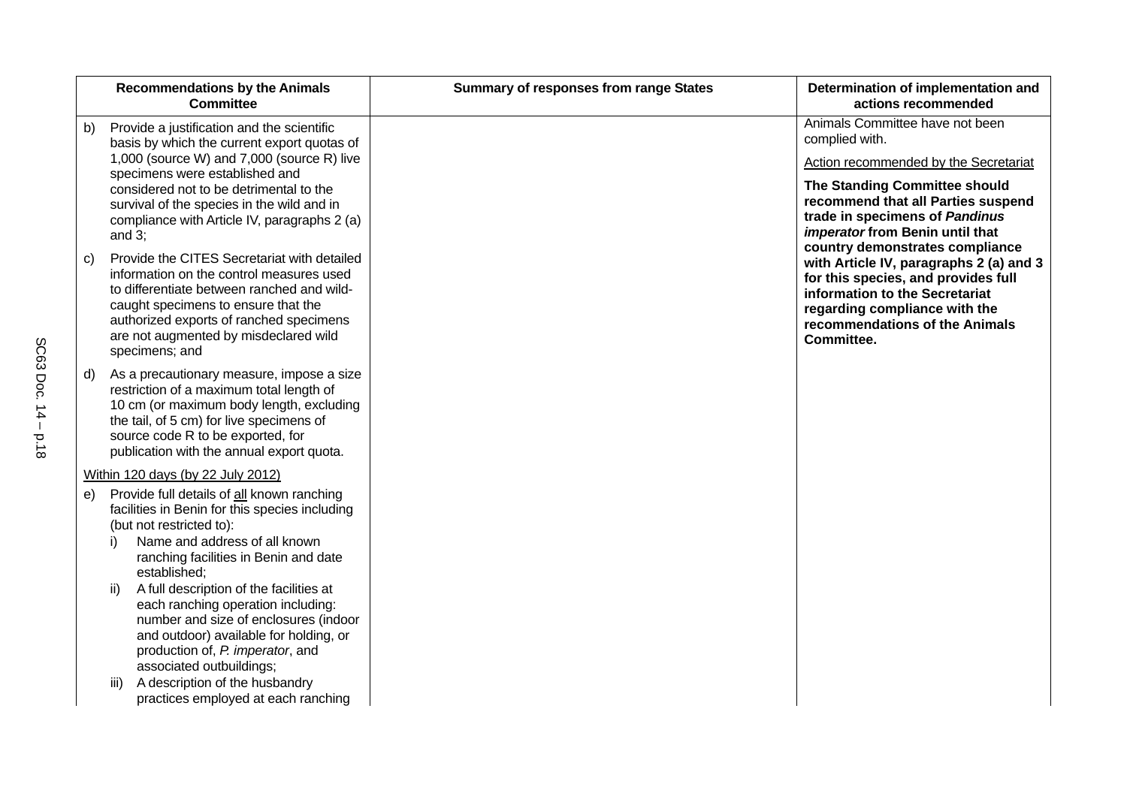|    | <b>Recommendations by the Animals</b><br><b>Committee</b>                                                                                                                                                                                                                          | <b>Summary of responses from range States</b> | Determination of implementation and<br>actions recommended                                                                                                                                                           |
|----|------------------------------------------------------------------------------------------------------------------------------------------------------------------------------------------------------------------------------------------------------------------------------------|-----------------------------------------------|----------------------------------------------------------------------------------------------------------------------------------------------------------------------------------------------------------------------|
| b) | Provide a justification and the scientific<br>basis by which the current export quotas of                                                                                                                                                                                          |                                               | Animals Committee have not been<br>complied with.                                                                                                                                                                    |
|    | 1,000 (source W) and 7,000 (source R) live<br>specimens were established and<br>considered not to be detrimental to the<br>survival of the species in the wild and in<br>compliance with Article IV, paragraphs 2 (a)<br>and $3$ ;                                                 |                                               | Action recommended by the Secretariat<br>The Standing Committee should<br>recommend that all Parties suspend<br>trade in specimens of Pandinus<br>imperator from Benin until that<br>country demonstrates compliance |
| C) | Provide the CITES Secretariat with detailed<br>information on the control measures used<br>to differentiate between ranched and wild-<br>caught specimens to ensure that the<br>authorized exports of ranched specimens<br>are not augmented by misdeclared wild<br>specimens; and |                                               | with Article IV, paragraphs 2 (a) and 3<br>for this species, and provides full<br>information to the Secretariat<br>regarding compliance with the<br>recommendations of the Animals<br>Committee.                    |
| d) | As a precautionary measure, impose a size<br>restriction of a maximum total length of<br>10 cm (or maximum body length, excluding<br>the tail, of 5 cm) for live specimens of<br>source code R to be exported, for<br>publication with the annual export quota.                    |                                               |                                                                                                                                                                                                                      |
|    | Within 120 days (by 22 July 2012)                                                                                                                                                                                                                                                  |                                               |                                                                                                                                                                                                                      |
|    | e) Provide full details of all known ranching<br>facilities in Benin for this species including<br>(but not restricted to):<br>Name and address of all known<br>i)<br>ranching facilities in Benin and date<br>established;                                                        |                                               |                                                                                                                                                                                                                      |
|    | A full description of the facilities at<br>ii)<br>each ranching operation including:<br>number and size of enclosures (indoor<br>and outdoor) available for holding, or<br>production of, P. imperator, and<br>associated outbuildings;<br>A description of the husbandry<br>iii)  |                                               |                                                                                                                                                                                                                      |
|    | practices employed at each ranching                                                                                                                                                                                                                                                |                                               |                                                                                                                                                                                                                      |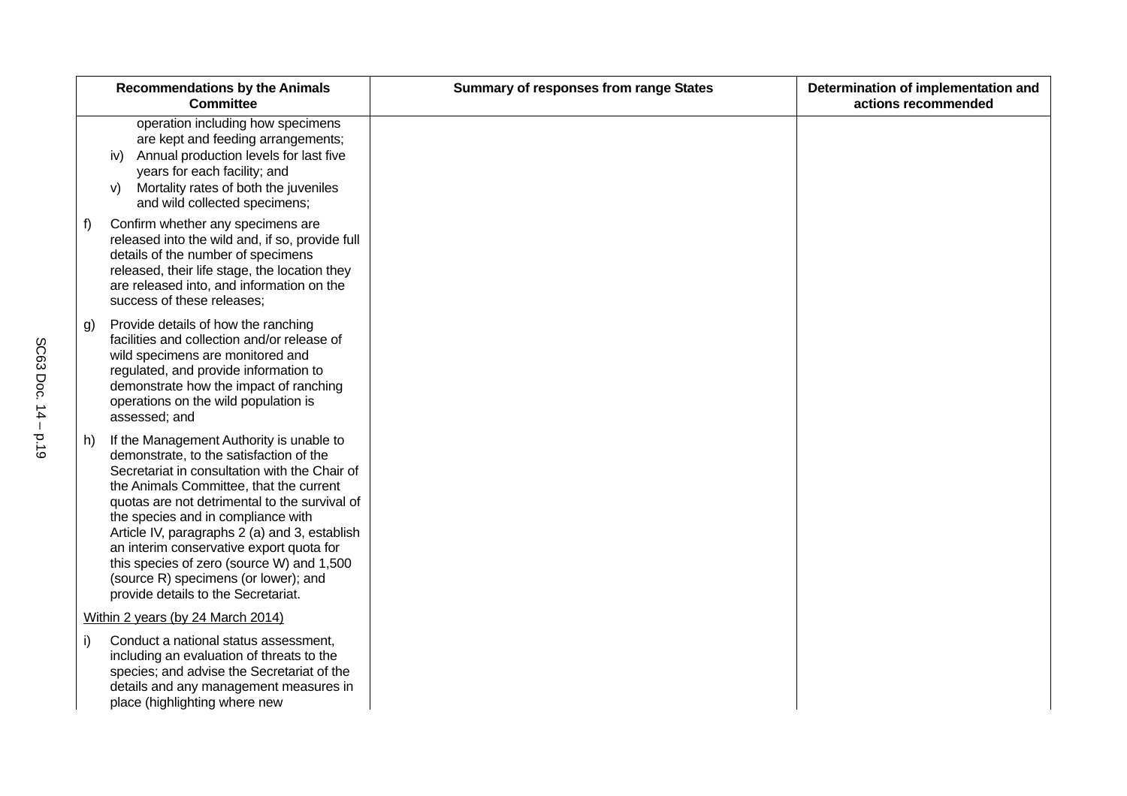| operation including how specimens<br>are kept and feeding arrangements;<br>Annual production levels for last five<br>iv)<br>years for each facility; and<br>Mortality rates of both the juveniles<br>V)<br>and wild collected specimens;<br>Confirm whether any specimens are<br>f)<br>released into the wild and, if so, provide full<br>details of the number of specimens<br>released, their life stage, the location they<br>are released into, and information on the<br>success of these releases;<br>Provide details of how the ranching<br>g)<br>facilities and collection and/or release of<br>wild specimens are monitored and | Determination of implementation and<br>actions recommended |
|------------------------------------------------------------------------------------------------------------------------------------------------------------------------------------------------------------------------------------------------------------------------------------------------------------------------------------------------------------------------------------------------------------------------------------------------------------------------------------------------------------------------------------------------------------------------------------------------------------------------------------------|------------------------------------------------------------|
|                                                                                                                                                                                                                                                                                                                                                                                                                                                                                                                                                                                                                                          |                                                            |
|                                                                                                                                                                                                                                                                                                                                                                                                                                                                                                                                                                                                                                          |                                                            |
| regulated, and provide information to<br>demonstrate how the impact of ranching<br>operations on the wild population is<br>assessed; and                                                                                                                                                                                                                                                                                                                                                                                                                                                                                                 |                                                            |
| If the Management Authority is unable to<br>h)<br>demonstrate, to the satisfaction of the<br>Secretariat in consultation with the Chair of<br>the Animals Committee, that the current<br>quotas are not detrimental to the survival of<br>the species and in compliance with<br>Article IV, paragraphs 2 (a) and 3, establish<br>an interim conservative export quota for<br>this species of zero (source W) and 1,500<br>(source R) specimens (or lower); and<br>provide details to the Secretariat.                                                                                                                                    |                                                            |
| Within 2 years (by 24 March 2014)                                                                                                                                                                                                                                                                                                                                                                                                                                                                                                                                                                                                        |                                                            |
| Conduct a national status assessment,<br>i)<br>including an evaluation of threats to the<br>species; and advise the Secretariat of the<br>details and any management measures in<br>place (highlighting where new                                                                                                                                                                                                                                                                                                                                                                                                                        |                                                            |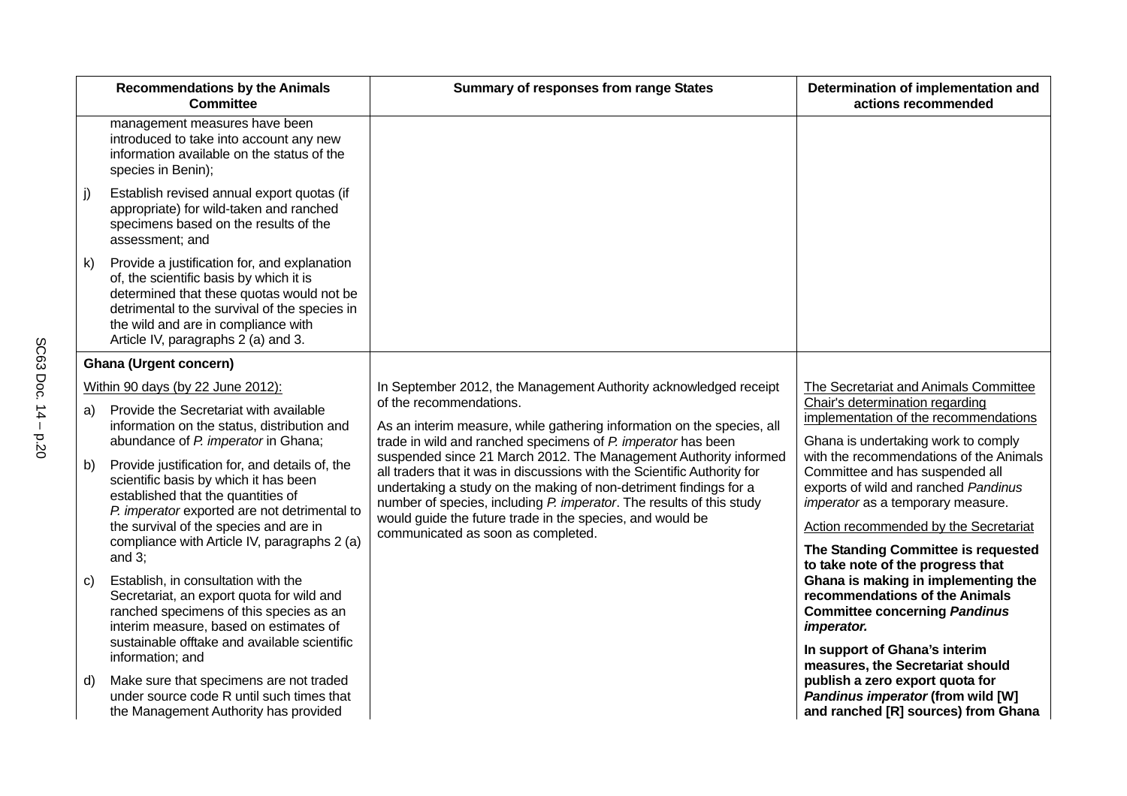|              | <b>Recommendations by the Animals</b><br><b>Committee</b>                                                                                                                                                                                                               | <b>Summary of responses from range States</b>                                                                                                                                                                                                                                                                                                                                                | Determination of implementation and<br>actions recommended                                                                                                                                       |
|--------------|-------------------------------------------------------------------------------------------------------------------------------------------------------------------------------------------------------------------------------------------------------------------------|----------------------------------------------------------------------------------------------------------------------------------------------------------------------------------------------------------------------------------------------------------------------------------------------------------------------------------------------------------------------------------------------|--------------------------------------------------------------------------------------------------------------------------------------------------------------------------------------------------|
|              | management measures have been<br>introduced to take into account any new<br>information available on the status of the<br>species in Benin);                                                                                                                            |                                                                                                                                                                                                                                                                                                                                                                                              |                                                                                                                                                                                                  |
| j)           | Establish revised annual export quotas (if<br>appropriate) for wild-taken and ranched<br>specimens based on the results of the<br>assessment; and                                                                                                                       |                                                                                                                                                                                                                                                                                                                                                                                              |                                                                                                                                                                                                  |
| $\mathsf{k}$ | Provide a justification for, and explanation<br>of, the scientific basis by which it is<br>determined that these quotas would not be<br>detrimental to the survival of the species in<br>the wild and are in compliance with<br>Article IV, paragraphs 2 (a) and 3.     |                                                                                                                                                                                                                                                                                                                                                                                              |                                                                                                                                                                                                  |
|              | <b>Ghana (Urgent concern)</b>                                                                                                                                                                                                                                           |                                                                                                                                                                                                                                                                                                                                                                                              |                                                                                                                                                                                                  |
|              | Within 90 days (by 22 June 2012):                                                                                                                                                                                                                                       | In September 2012, the Management Authority acknowledged receipt                                                                                                                                                                                                                                                                                                                             | The Secretariat and Animals Committee                                                                                                                                                            |
| a)           | Provide the Secretariat with available                                                                                                                                                                                                                                  | of the recommendations.                                                                                                                                                                                                                                                                                                                                                                      | Chair's determination regarding<br>implementation of the recommendations                                                                                                                         |
|              | information on the status, distribution and<br>abundance of P. imperator in Ghana;                                                                                                                                                                                      | As an interim measure, while gathering information on the species, all<br>trade in wild and ranched specimens of P. imperator has been                                                                                                                                                                                                                                                       | Ghana is undertaking work to comply                                                                                                                                                              |
| b)           | Provide justification for, and details of, the<br>scientific basis by which it has been<br>established that the quantities of<br>P. imperator exported are not detrimental to<br>the survival of the species and are in<br>compliance with Article IV, paragraphs 2 (a) | suspended since 21 March 2012. The Management Authority informed<br>all traders that it was in discussions with the Scientific Authority for<br>undertaking a study on the making of non-detriment findings for a<br>number of species, including P. imperator. The results of this study<br>would guide the future trade in the species, and would be<br>communicated as soon as completed. | with the recommendations of the Animals<br>Committee and has suspended all<br>exports of wild and ranched Pandinus<br>imperator as a temporary measure.<br>Action recommended by the Secretariat |
|              | and $3$ ;                                                                                                                                                                                                                                                               |                                                                                                                                                                                                                                                                                                                                                                                              | The Standing Committee is requested<br>to take note of the progress that                                                                                                                         |
| C)           | Establish, in consultation with the<br>Secretariat, an export quota for wild and<br>ranched specimens of this species as an<br>interim measure, based on estimates of                                                                                                   |                                                                                                                                                                                                                                                                                                                                                                                              | Ghana is making in implementing the<br>recommendations of the Animals<br><b>Committee concerning Pandinus</b><br>imperator.                                                                      |
|              | sustainable offtake and available scientific<br>information; and                                                                                                                                                                                                        |                                                                                                                                                                                                                                                                                                                                                                                              | In support of Ghana's interim                                                                                                                                                                    |
| d)           | Make sure that specimens are not traded<br>under source code R until such times that<br>the Management Authority has provided                                                                                                                                           |                                                                                                                                                                                                                                                                                                                                                                                              | measures, the Secretariat should<br>publish a zero export quota for<br>Pandinus imperator (from wild [W]<br>and ranched [R] sources) from Ghana                                                  |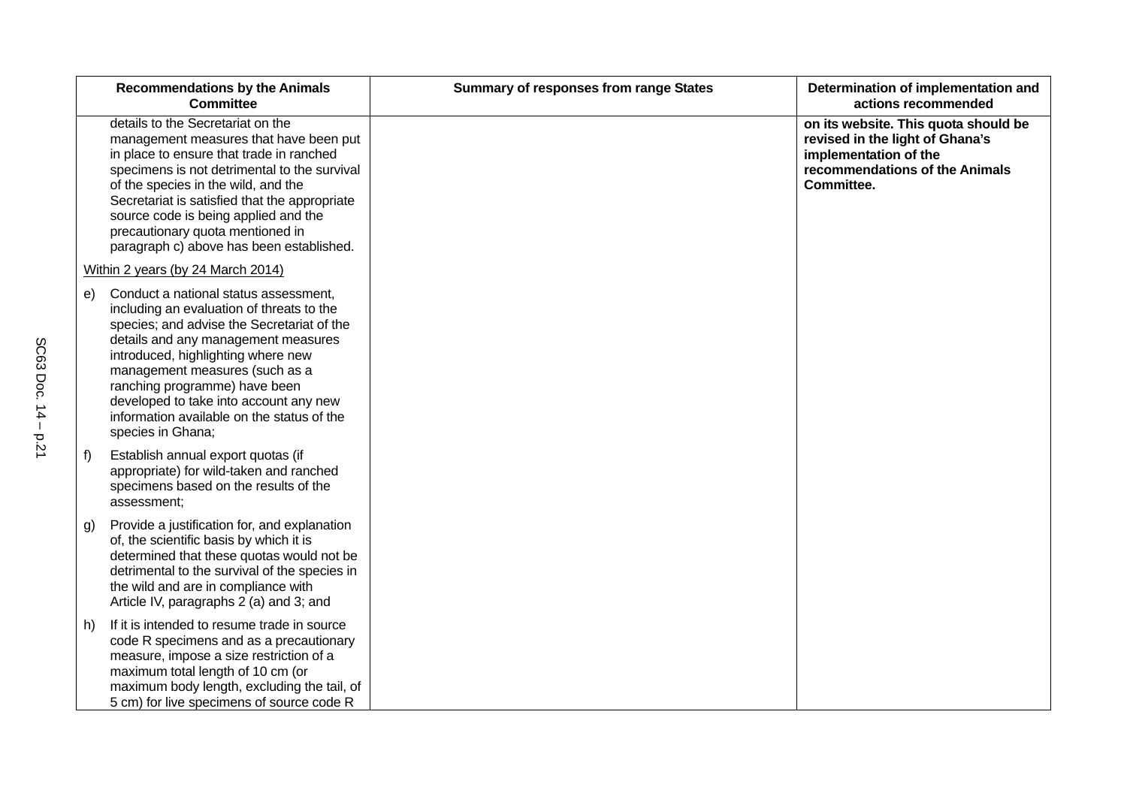|    | <b>Recommendations by the Animals</b><br><b>Committee</b>                                                                                                                                                                                                                                                                                                                                     | <b>Summary of responses from range States</b> | Determination of implementation and<br>actions recommended                                                                                       |
|----|-----------------------------------------------------------------------------------------------------------------------------------------------------------------------------------------------------------------------------------------------------------------------------------------------------------------------------------------------------------------------------------------------|-----------------------------------------------|--------------------------------------------------------------------------------------------------------------------------------------------------|
|    | details to the Secretariat on the<br>management measures that have been put<br>in place to ensure that trade in ranched<br>specimens is not detrimental to the survival<br>of the species in the wild, and the<br>Secretariat is satisfied that the appropriate<br>source code is being applied and the<br>precautionary quota mentioned in<br>paragraph c) above has been established.       |                                               | on its website. This quota should be<br>revised in the light of Ghana's<br>implementation of the<br>recommendations of the Animals<br>Committee. |
|    | Within 2 years (by 24 March 2014)                                                                                                                                                                                                                                                                                                                                                             |                                               |                                                                                                                                                  |
| e) | Conduct a national status assessment,<br>including an evaluation of threats to the<br>species; and advise the Secretariat of the<br>details and any management measures<br>introduced, highlighting where new<br>management measures (such as a<br>ranching programme) have been<br>developed to take into account any new<br>information available on the status of the<br>species in Ghana; |                                               |                                                                                                                                                  |
| f) | Establish annual export quotas (if<br>appropriate) for wild-taken and ranched<br>specimens based on the results of the<br>assessment:                                                                                                                                                                                                                                                         |                                               |                                                                                                                                                  |
| g) | Provide a justification for, and explanation<br>of, the scientific basis by which it is<br>determined that these quotas would not be<br>detrimental to the survival of the species in<br>the wild and are in compliance with<br>Article IV, paragraphs 2 (a) and 3; and                                                                                                                       |                                               |                                                                                                                                                  |
| h) | If it is intended to resume trade in source<br>code R specimens and as a precautionary<br>measure, impose a size restriction of a<br>maximum total length of 10 cm (or<br>maximum body length, excluding the tail, of<br>5 cm) for live specimens of source code R                                                                                                                            |                                               |                                                                                                                                                  |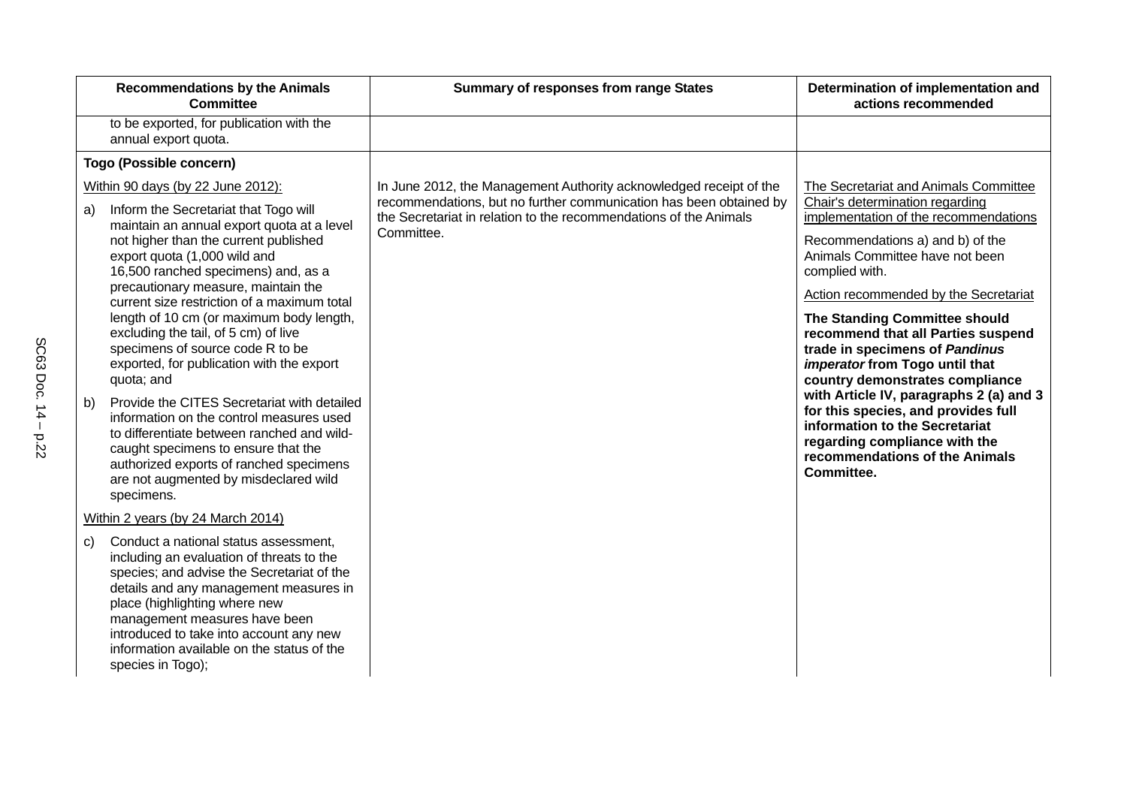| In June 2012, the Management Authority acknowledged receipt of the<br>The Secretariat and Animals Committee<br>recommendations, but no further communication has been obtained by<br>Chair's determination regarding                         |
|----------------------------------------------------------------------------------------------------------------------------------------------------------------------------------------------------------------------------------------------|
|                                                                                                                                                                                                                                              |
|                                                                                                                                                                                                                                              |
|                                                                                                                                                                                                                                              |
| implementation of the recommendations<br>the Secretariat in relation to the recommendations of the Animals<br>Recommendations a) and b) of the<br>Animals Committee have not been<br>complied with.<br>Action recommended by the Secretariat |
| The Standing Committee should<br>recommend that all Parties suspend<br>trade in specimens of Pandinus<br>imperator from Togo until that<br>country demonstrates compliance                                                                   |
| with Article IV, paragraphs 2 (a) and 3<br>for this species, and provides full<br>information to the Secretariat<br>regarding compliance with the<br>recommendations of the Animals<br>Committee.                                            |
|                                                                                                                                                                                                                                              |
|                                                                                                                                                                                                                                              |
|                                                                                                                                                                                                                                              |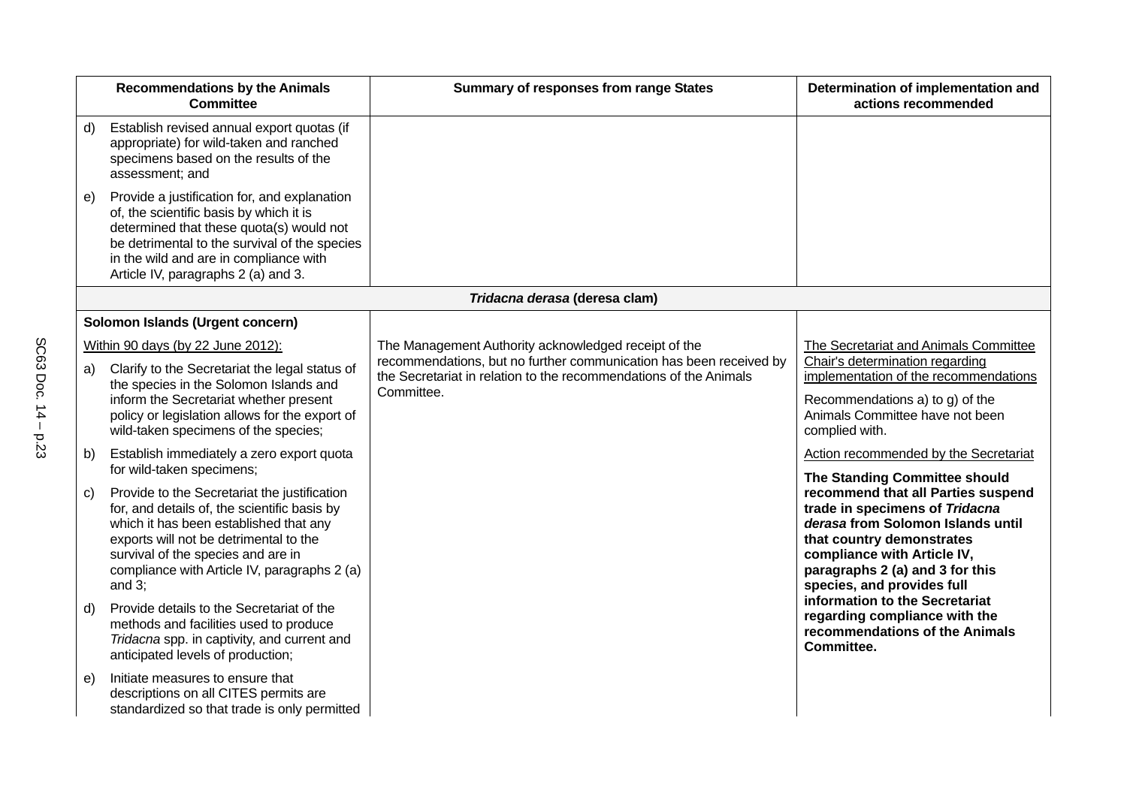|                | <b>Recommendations by the Animals</b><br><b>Committee</b>                                                                                                                                                                                                                                                                                                                                                                                   | <b>Summary of responses from range States</b>                                                                                                                                                                 | Determination of implementation and<br>actions recommended                                                                                                                                                                                                                                                                                                  |
|----------------|---------------------------------------------------------------------------------------------------------------------------------------------------------------------------------------------------------------------------------------------------------------------------------------------------------------------------------------------------------------------------------------------------------------------------------------------|---------------------------------------------------------------------------------------------------------------------------------------------------------------------------------------------------------------|-------------------------------------------------------------------------------------------------------------------------------------------------------------------------------------------------------------------------------------------------------------------------------------------------------------------------------------------------------------|
| d)             | Establish revised annual export quotas (if<br>appropriate) for wild-taken and ranched<br>specimens based on the results of the<br>assessment; and                                                                                                                                                                                                                                                                                           |                                                                                                                                                                                                               |                                                                                                                                                                                                                                                                                                                                                             |
| e)             | Provide a justification for, and explanation<br>of, the scientific basis by which it is<br>determined that these quota(s) would not<br>be detrimental to the survival of the species<br>in the wild and are in compliance with<br>Article IV, paragraphs 2 (a) and 3.                                                                                                                                                                       |                                                                                                                                                                                                               |                                                                                                                                                                                                                                                                                                                                                             |
|                |                                                                                                                                                                                                                                                                                                                                                                                                                                             | Tridacna derasa (deresa clam)                                                                                                                                                                                 |                                                                                                                                                                                                                                                                                                                                                             |
|                | Solomon Islands (Urgent concern)                                                                                                                                                                                                                                                                                                                                                                                                            |                                                                                                                                                                                                               |                                                                                                                                                                                                                                                                                                                                                             |
| a)<br>b)<br>c) | Within 90 days (by 22 June 2012):<br>Clarify to the Secretariat the legal status of<br>the species in the Solomon Islands and<br>inform the Secretariat whether present<br>policy or legislation allows for the export of<br>wild-taken specimens of the species;<br>Establish immediately a zero export quota<br>for wild-taken specimens;<br>Provide to the Secretariat the justification<br>for, and details of, the scientific basis by | The Management Authority acknowledged receipt of the<br>recommendations, but no further communication has been received by<br>the Secretariat in relation to the recommendations of the Animals<br>Committee. | The Secretariat and Animals Committee<br>Chair's determination regarding<br>implementation of the recommendations<br>Recommendations a) to g) of the<br>Animals Committee have not been<br>complied with.<br>Action recommended by the Secretariat<br>The Standing Committee should<br>recommend that all Parties suspend<br>trade in specimens of Tridacna |
|                | which it has been established that any<br>exports will not be detrimental to the<br>survival of the species and are in<br>compliance with Article IV, paragraphs 2 (a)<br>and $3$ ;                                                                                                                                                                                                                                                         |                                                                                                                                                                                                               | derasa from Solomon Islands until<br>that country demonstrates<br>compliance with Article IV,<br>paragraphs 2 (a) and 3 for this<br>species, and provides full<br>information to the Secretariat                                                                                                                                                            |
| $\mathsf{d}$   | Provide details to the Secretariat of the<br>methods and facilities used to produce<br>Tridacna spp. in captivity, and current and<br>anticipated levels of production;                                                                                                                                                                                                                                                                     |                                                                                                                                                                                                               | regarding compliance with the<br>recommendations of the Animals<br>Committee.                                                                                                                                                                                                                                                                               |
| e)             | Initiate measures to ensure that<br>descriptions on all CITES permits are<br>standardized so that trade is only permitted                                                                                                                                                                                                                                                                                                                   |                                                                                                                                                                                                               |                                                                                                                                                                                                                                                                                                                                                             |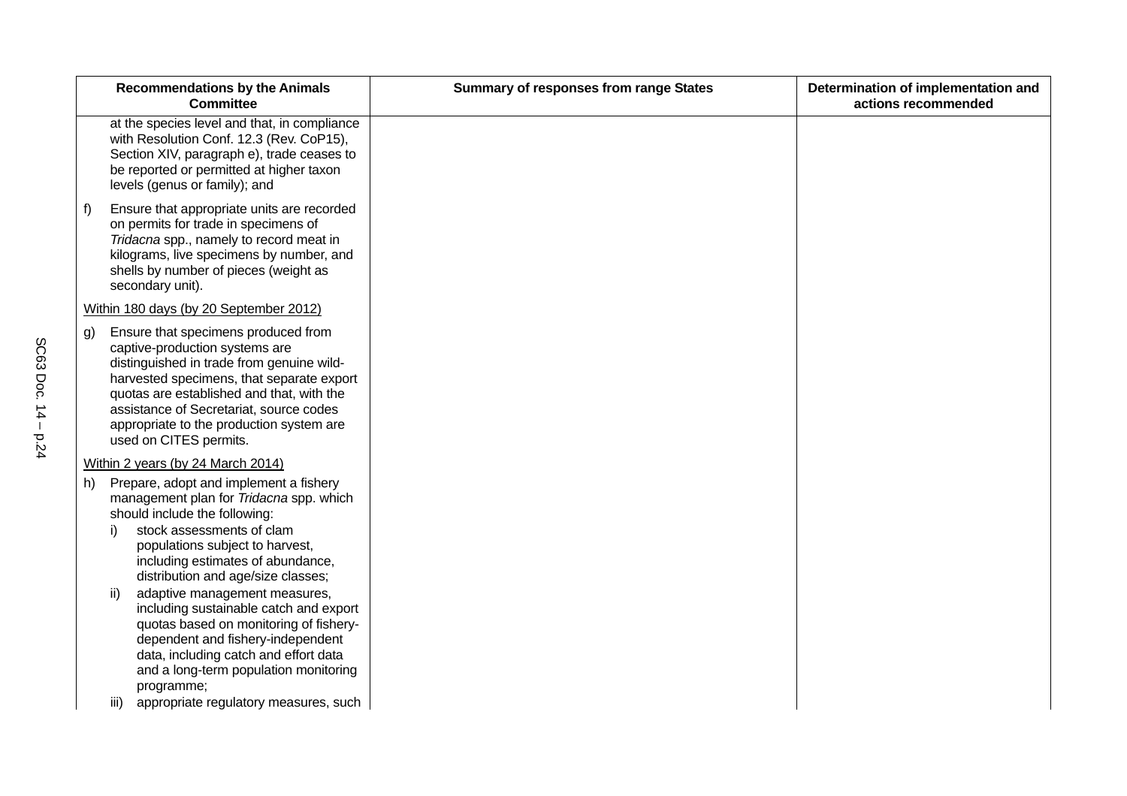|                                                                                                                                                                                                                                                                                                                                                                                                   |                                                                                                                                                                                                                                                                                                                                                                                                                                                                                                                                                                                                                                                                                                                                                                                                                                                                                                                                                                                                                   | actions recommended |
|---------------------------------------------------------------------------------------------------------------------------------------------------------------------------------------------------------------------------------------------------------------------------------------------------------------------------------------------------------------------------------------------------|-------------------------------------------------------------------------------------------------------------------------------------------------------------------------------------------------------------------------------------------------------------------------------------------------------------------------------------------------------------------------------------------------------------------------------------------------------------------------------------------------------------------------------------------------------------------------------------------------------------------------------------------------------------------------------------------------------------------------------------------------------------------------------------------------------------------------------------------------------------------------------------------------------------------------------------------------------------------------------------------------------------------|---------------------|
| at the species level and that, in compliance                                                                                                                                                                                                                                                                                                                                                      |                                                                                                                                                                                                                                                                                                                                                                                                                                                                                                                                                                                                                                                                                                                                                                                                                                                                                                                                                                                                                   |                     |
|                                                                                                                                                                                                                                                                                                                                                                                                   |                                                                                                                                                                                                                                                                                                                                                                                                                                                                                                                                                                                                                                                                                                                                                                                                                                                                                                                                                                                                                   |                     |
|                                                                                                                                                                                                                                                                                                                                                                                                   |                                                                                                                                                                                                                                                                                                                                                                                                                                                                                                                                                                                                                                                                                                                                                                                                                                                                                                                                                                                                                   |                     |
|                                                                                                                                                                                                                                                                                                                                                                                                   |                                                                                                                                                                                                                                                                                                                                                                                                                                                                                                                                                                                                                                                                                                                                                                                                                                                                                                                                                                                                                   |                     |
|                                                                                                                                                                                                                                                                                                                                                                                                   |                                                                                                                                                                                                                                                                                                                                                                                                                                                                                                                                                                                                                                                                                                                                                                                                                                                                                                                                                                                                                   |                     |
| stock assessments of clam<br>populations subject to harvest,<br>including estimates of abundance,<br>distribution and age/size classes;<br>adaptive management measures,<br>including sustainable catch and export<br>quotas based on monitoring of fishery-<br>dependent and fishery-independent<br>data, including catch and effort data<br>and a long-term population monitoring<br>programme; |                                                                                                                                                                                                                                                                                                                                                                                                                                                                                                                                                                                                                                                                                                                                                                                                                                                                                                                                                                                                                   |                     |
|                                                                                                                                                                                                                                                                                                                                                                                                   | with Resolution Conf. 12.3 (Rev. CoP15),<br>Section XIV, paragraph e), trade ceases to<br>be reported or permitted at higher taxon<br>levels (genus or family); and<br>Ensure that appropriate units are recorded<br>on permits for trade in specimens of<br>Tridacna spp., namely to record meat in<br>kilograms, live specimens by number, and<br>shells by number of pieces (weight as<br>secondary unit).<br>Within 180 days (by 20 September 2012)<br>Ensure that specimens produced from<br>captive-production systems are<br>distinguished in trade from genuine wild-<br>harvested specimens, that separate export<br>quotas are established and that, with the<br>assistance of Secretariat, source codes<br>appropriate to the production system are<br>used on CITES permits.<br>Within 2 years (by 24 March 2014)<br>Prepare, adopt and implement a fishery<br>management plan for Tridacna spp. which<br>should include the following:<br>i)<br>ii)<br>appropriate regulatory measures, such<br>iii) |                     |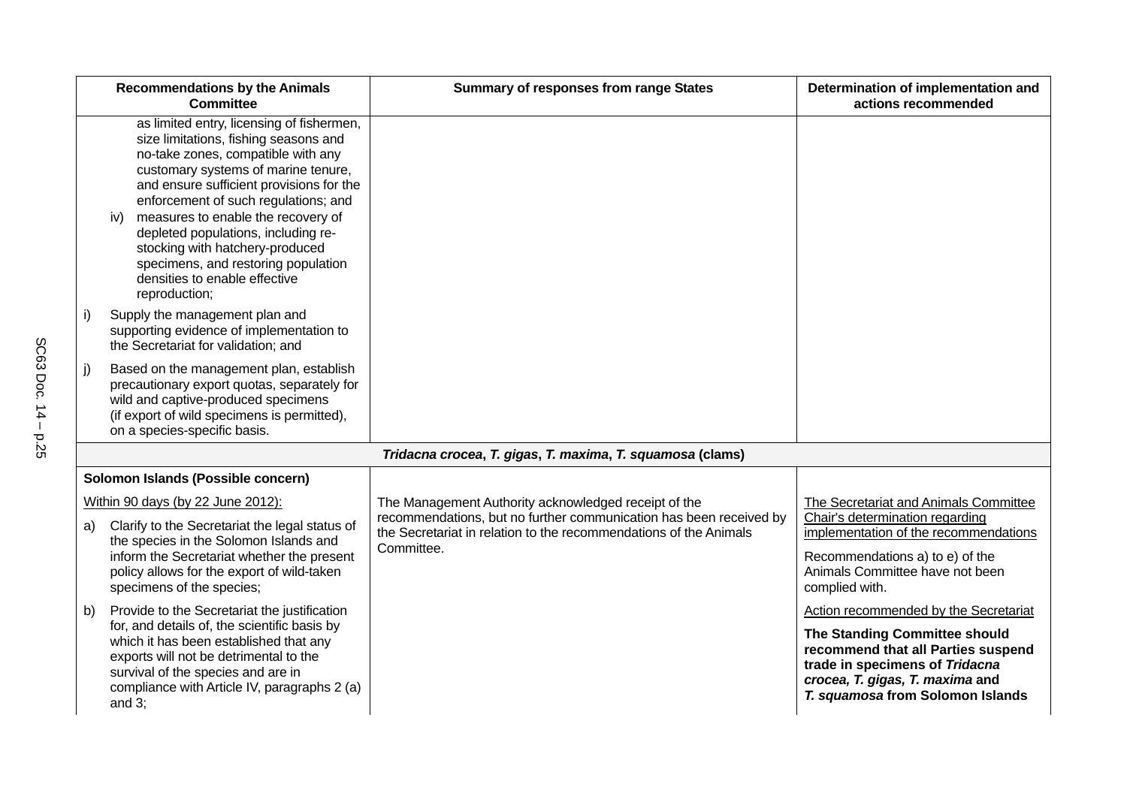|    | <b>Recommendations by the Animals</b><br><b>Committee</b>                                                                                                                                                                                                                                                                                                                                                                                                           | <b>Summary of responses from range States</b>                                                                              | Determination of implementation and<br>actions recommended                                                                                                                                                            |
|----|---------------------------------------------------------------------------------------------------------------------------------------------------------------------------------------------------------------------------------------------------------------------------------------------------------------------------------------------------------------------------------------------------------------------------------------------------------------------|----------------------------------------------------------------------------------------------------------------------------|-----------------------------------------------------------------------------------------------------------------------------------------------------------------------------------------------------------------------|
|    | as limited entry, licensing of fishermen,<br>size limitations, fishing seasons and<br>no-take zones, compatible with any<br>customary systems of marine tenure,<br>and ensure sufficient provisions for the<br>enforcement of such regulations; and<br>measures to enable the recovery of<br>iv)<br>depleted populations, including re-<br>stocking with hatchery-produced<br>specimens, and restoring population<br>densities to enable effective<br>reproduction; |                                                                                                                            |                                                                                                                                                                                                                       |
| i) | Supply the management plan and<br>supporting evidence of implementation to<br>the Secretariat for validation; and                                                                                                                                                                                                                                                                                                                                                   |                                                                                                                            |                                                                                                                                                                                                                       |
| j) | Based on the management plan, establish<br>precautionary export quotas, separately for<br>wild and captive-produced specimens<br>(if export of wild specimens is permitted),<br>on a species-specific basis.                                                                                                                                                                                                                                                        |                                                                                                                            |                                                                                                                                                                                                                       |
|    |                                                                                                                                                                                                                                                                                                                                                                                                                                                                     | Tridacna crocea, T. gigas, T. maxima, T. squamosa (clams)                                                                  |                                                                                                                                                                                                                       |
|    | Solomon Islands (Possible concern)                                                                                                                                                                                                                                                                                                                                                                                                                                  |                                                                                                                            |                                                                                                                                                                                                                       |
|    | Within 90 days (by 22 June 2012):                                                                                                                                                                                                                                                                                                                                                                                                                                   | The Management Authority acknowledged receipt of the<br>recommendations, but no further communication has been received by | The Secretariat and Animals Committee                                                                                                                                                                                 |
| a) | Clarify to the Secretariat the legal status of<br>the species in the Solomon Islands and                                                                                                                                                                                                                                                                                                                                                                            | the Secretariat in relation to the recommendations of the Animals                                                          | Chair's determination regarding<br>implementation of the recommendations                                                                                                                                              |
|    | inform the Secretariat whether the present<br>policy allows for the export of wild-taken<br>specimens of the species;                                                                                                                                                                                                                                                                                                                                               | Committee.                                                                                                                 | Recommendations a) to e) of the<br>Animals Committee have not been<br>complied with.                                                                                                                                  |
| b) | Provide to the Secretariat the justification<br>for, and details of, the scientific basis by<br>which it has been established that any<br>exports will not be detrimental to the<br>survival of the species and are in<br>compliance with Article IV, paragraphs 2 (a)<br>and $3$ ;                                                                                                                                                                                 |                                                                                                                            | Action recommended by the Secretariat<br>The Standing Committee should<br>recommend that all Parties suspend<br>trade in specimens of Tridacna<br>crocea, T. gigas, T. maxima and<br>T. squamosa from Solomon Islands |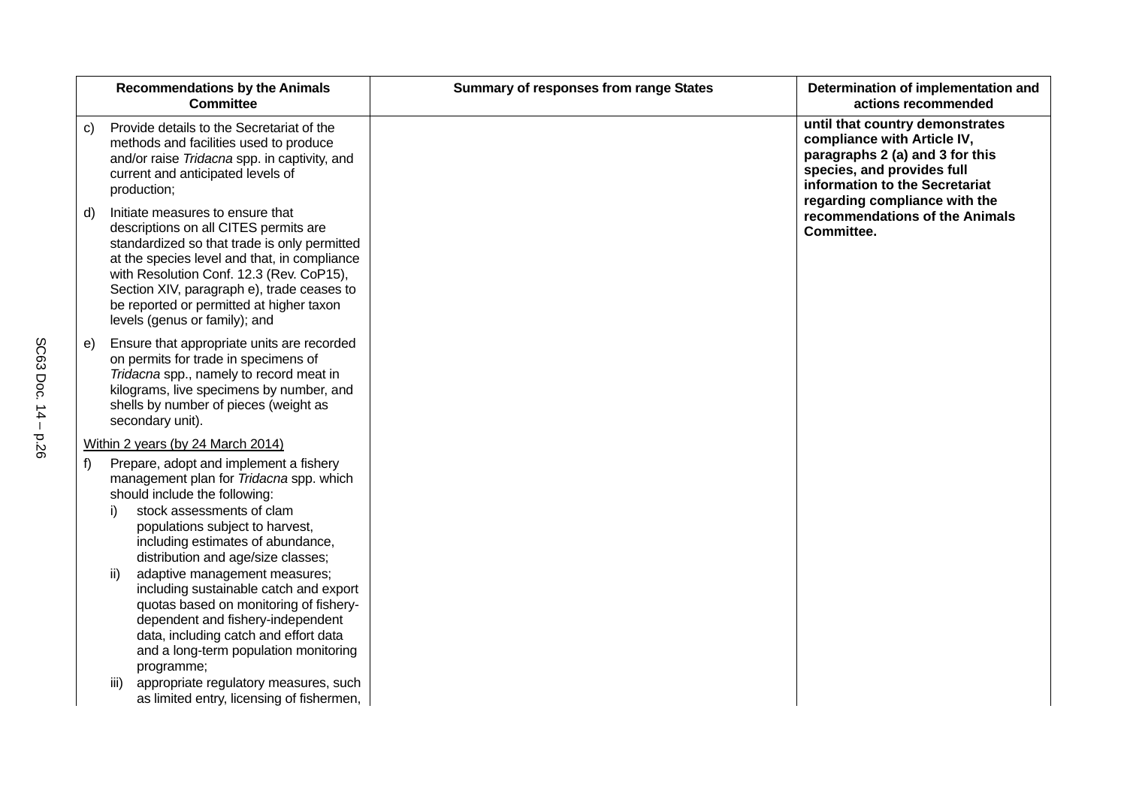|                         | <b>Recommendations by the Animals</b><br><b>Committee</b>                                                                                                                                                                                                                                                                                                                                                                                                                                                                                                                                                     | <b>Summary of responses from range States</b> | Determination of implementation and<br>actions recommended                                                                                                                                         |
|-------------------------|---------------------------------------------------------------------------------------------------------------------------------------------------------------------------------------------------------------------------------------------------------------------------------------------------------------------------------------------------------------------------------------------------------------------------------------------------------------------------------------------------------------------------------------------------------------------------------------------------------------|-----------------------------------------------|----------------------------------------------------------------------------------------------------------------------------------------------------------------------------------------------------|
| C)<br>production;       | Provide details to the Secretariat of the<br>methods and facilities used to produce<br>and/or raise Tridacna spp. in captivity, and<br>current and anticipated levels of                                                                                                                                                                                                                                                                                                                                                                                                                                      |                                               | until that country demonstrates<br>compliance with Article IV,<br>paragraphs 2 (a) and 3 for this<br>species, and provides full<br>information to the Secretariat<br>regarding compliance with the |
| d)                      | Initiate measures to ensure that<br>descriptions on all CITES permits are<br>standardized so that trade is only permitted<br>at the species level and that, in compliance<br>with Resolution Conf. 12.3 (Rev. CoP15),<br>Section XIV, paragraph e), trade ceases to<br>be reported or permitted at higher taxon<br>levels (genus or family); and                                                                                                                                                                                                                                                              |                                               | recommendations of the Animals<br>Committee.                                                                                                                                                       |
| e)<br>secondary unit).  | Ensure that appropriate units are recorded<br>on permits for trade in specimens of<br>Tridacna spp., namely to record meat in<br>kilograms, live specimens by number, and<br>shells by number of pieces (weight as                                                                                                                                                                                                                                                                                                                                                                                            |                                               |                                                                                                                                                                                                    |
|                         | Within 2 years (by 24 March 2014)                                                                                                                                                                                                                                                                                                                                                                                                                                                                                                                                                                             |                                               |                                                                                                                                                                                                    |
| f)<br>i)<br>ii)<br>iii) | Prepare, adopt and implement a fishery<br>management plan for Tridacna spp. which<br>should include the following:<br>stock assessments of clam<br>populations subject to harvest,<br>including estimates of abundance,<br>distribution and age/size classes;<br>adaptive management measures;<br>including sustainable catch and export<br>quotas based on monitoring of fishery-<br>dependent and fishery-independent<br>data, including catch and effort data<br>and a long-term population monitoring<br>programme;<br>appropriate regulatory measures, such<br>as limited entry, licensing of fishermen, |                                               |                                                                                                                                                                                                    |